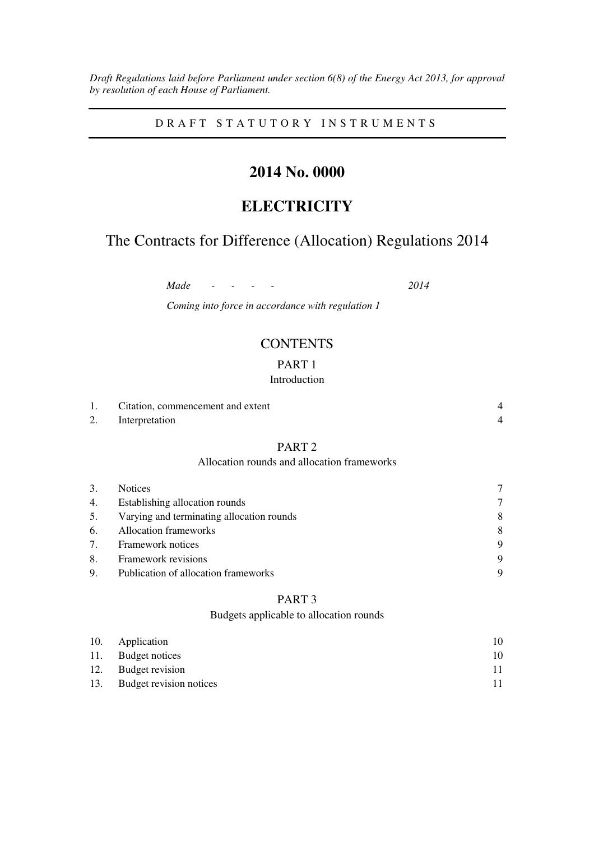*Draft Regulations laid before Parliament under section 6(8) of the Energy Act 2013, for approval by resolution of each House of Parliament.* 

D R A F T S T A T U T O R Y I N S T R U M E N T S

# **2014 No. 0000**

# **ELECTRICITY**

# The Contracts for Difference (Allocation) Regulations 2014

*Made - - - - 2014* 

*Coming into force in accordance with regulation 1* 

## **CONTENTS**

## PART 1

## Introduction

|    | Citation, commencement and extent |  |
|----|-----------------------------------|--|
| 2. | Interpretation                    |  |

## PART 2

### Allocation rounds and allocation frameworks

| 3. | <b>Notices</b>                            |        |
|----|-------------------------------------------|--------|
| 4. | Establishing allocation rounds            | $\tau$ |
| 5. | Varying and terminating allocation rounds | 8      |
| 6. | Allocation frameworks                     | 8      |
| 7. | Framework notices                         | 9      |
| 8. | Framework revisions                       | 9      |
| 9. | Publication of allocation frameworks      | 9      |

## PART 3

## Budgets applicable to allocation rounds

| 10. Application             | 10 |
|-----------------------------|----|
| 11. Budget notices          | 10 |
| 12. Budget revision         | 11 |
| 13. Budget revision notices | 11 |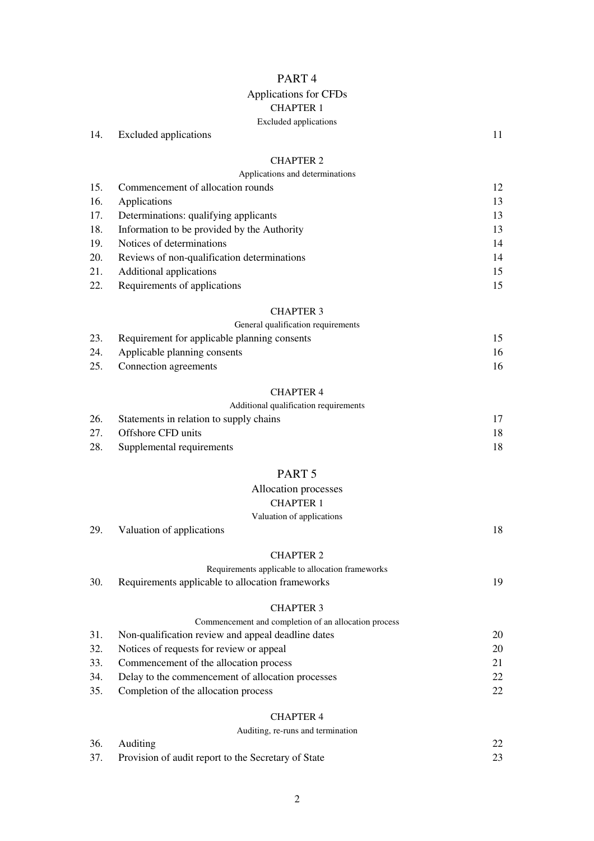## PART 4

## Applications for CFDs CHAPTER 1

### Excluded applications

14. Excluded applications 11

## CHAPTER 2

|  | Applications and determinations |
|--|---------------------------------|
|--|---------------------------------|

| 15. | Commencement of allocation rounds           |    |
|-----|---------------------------------------------|----|
| 16. | Applications                                | 13 |
| 17. | Determinations: qualifying applicants       | 13 |
| 18. | Information to be provided by the Authority | 13 |
| 19. | Notices of determinations                   | 14 |
| 20. | Reviews of non-qualification determinations | 14 |
| 21. | Additional applications                     | 15 |
| 22. | Requirements of applications                |    |

#### CHAPTER 3

#### General qualification requirements

| 23. | Requirement for applicable planning consents |     |
|-----|----------------------------------------------|-----|
|     | 24. Applicable planning consents             | 16. |
|     | 25. Connection agreements                    | 16. |

## CHAPTER 4

|  | Additional qualification requirements |
|--|---------------------------------------|
|  |                                       |
|  |                                       |

| 26. | Statements in relation to supply chains |     |
|-----|-----------------------------------------|-----|
|     | 27. Offshore CFD units                  | 18. |
| 28. | Supplemental requirements               | 18. |

## PART 5

## Allocation processes

CHAPTER 1

### Valuation of applications

| 29. Valuation of applications |  |
|-------------------------------|--|
|                               |  |

#### CHAPTER 2

|  | Requirements applicable to allocation frameworks |  |
|--|--------------------------------------------------|--|
|--|--------------------------------------------------|--|

| 30. | Requirements applicable to allocation frameworks |  |
|-----|--------------------------------------------------|--|
|-----|--------------------------------------------------|--|

## CHAPTER 3

| 20           |
|--------------|
| 20           |
| 21           |
| 22           |
| $22^{\circ}$ |
|              |

## CHAPTER 4

Auditing, re-runs and termination

| 36. Auditing                                            |  |
|---------------------------------------------------------|--|
| 37. Provision of audit report to the Secretary of State |  |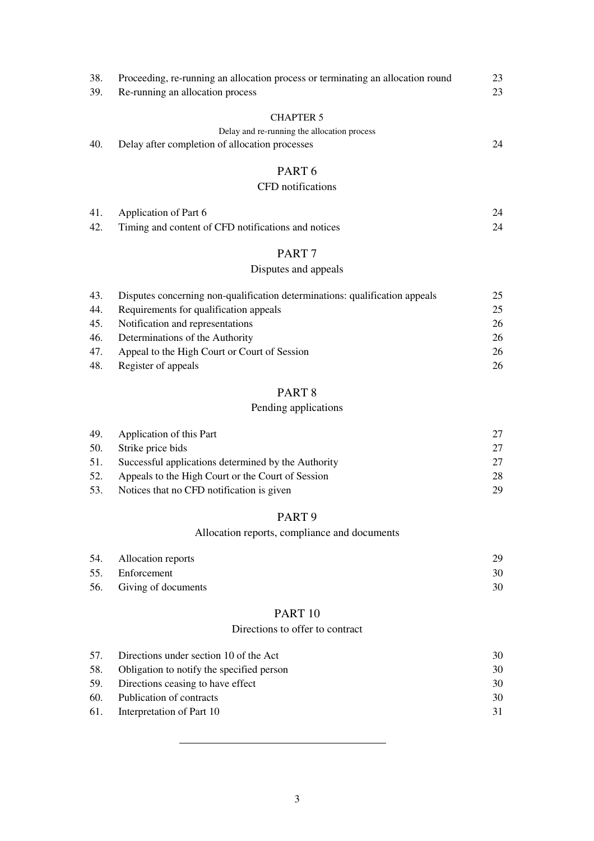| 38. | Proceeding, re-running an allocation process or terminating an allocation round | 23 |
|-----|---------------------------------------------------------------------------------|----|
| 39. | Re-running an allocation process                                                | 23 |
|     | <b>CHAPTER 5</b>                                                                |    |
|     | Delay and re-running the allocation process                                     |    |
| 40. | Delay after completion of allocation processes                                  | 24 |
|     | PART <sub>6</sub>                                                               |    |
|     | CFD notifications                                                               |    |
| 41. | Application of Part 6                                                           | 24 |
| 42. | Timing and content of CFD notifications and notices                             | 24 |
|     | PART <sub>7</sub>                                                               |    |

## Disputes and appeals

| 43. | Disputes concerning non-qualification determinations: qualification appeals | 25 |
|-----|-----------------------------------------------------------------------------|----|
| 44. | Requirements for qualification appeals                                      | 25 |
| 45. | Notification and representations                                            | 26 |
| 46. | Determinations of the Authority                                             | 26 |
| 47. | Appeal to the High Court or Court of Session                                | 26 |
| 48. | Register of appeals                                                         |    |

## PART 8

## Pending applications

| 49. | Application of this Part                            |    |
|-----|-----------------------------------------------------|----|
| 50. | Strike price bids                                   | 27 |
| 51. | Successful applications determined by the Authority | 27 |
| 52. | Appeals to the High Court or the Court of Session   | 28 |
| 53. | Notices that no CFD notification is given           | 29 |

## PART 9

## Allocation reports, compliance and documents

| 54. Allocation reports  | 29. |
|-------------------------|-----|
| 55. Enforcement         | 30- |
| 56. Giving of documents | 30  |

## PART 10

## Directions to offer to contract

| 57. | Directions under section 10 of the Act    | 30 |
|-----|-------------------------------------------|----|
| 58. | Obligation to notify the specified person | 30 |
|     | 59. Directions ceasing to have effect     | 30 |
|     | 60. Publication of contracts              | 30 |
|     | 61. Interpretation of Part 10             | 31 |
|     |                                           |    |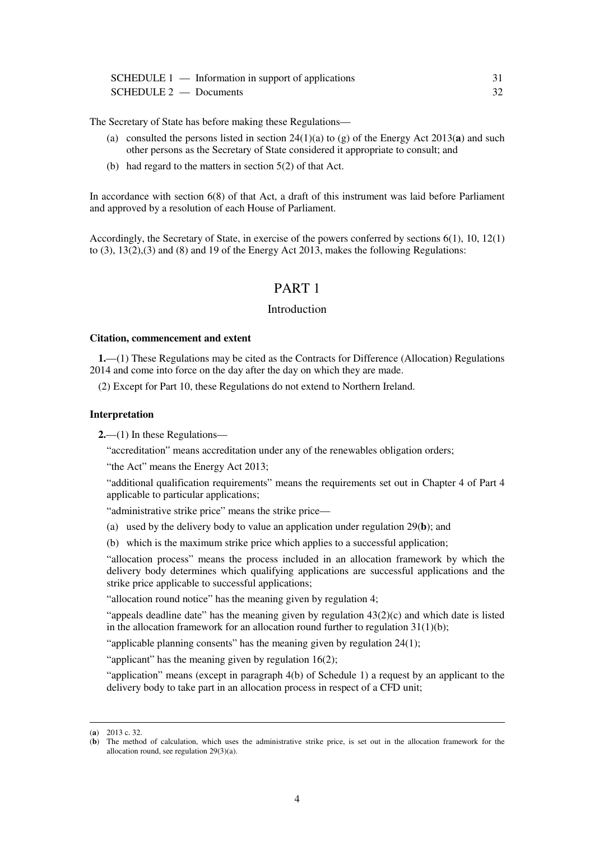|                          | $SCHEDULE 1$ — Information in support of applications |    |
|--------------------------|-------------------------------------------------------|----|
| $SCHEDULE 2$ — Documents |                                                       | 32 |

The Secretary of State has before making these Regulations—

- (a) consulted the persons listed in section 24(1)(a) to (g) of the Energy Act 2013(**a**) and such other persons as the Secretary of State considered it appropriate to consult; and
- (b) had regard to the matters in section 5(2) of that Act.

In accordance with section 6(8) of that Act, a draft of this instrument was laid before Parliament and approved by a resolution of each House of Parliament.

Accordingly, the Secretary of State, in exercise of the powers conferred by sections 6(1), 10, 12(1) to (3), 13(2),(3) and (8) and 19 of the Energy Act 2013, makes the following Regulations:

## PART 1

#### Introduction

#### **Citation, commencement and extent**

**1.**—(1) These Regulations may be cited as the Contracts for Difference (Allocation) Regulations 2014 and come into force on the day after the day on which they are made.

(2) Except for Part 10, these Regulations do not extend to Northern Ireland.

#### **Interpretation**

**2.**—(1) In these Regulations—

"accreditation" means accreditation under any of the renewables obligation orders;

"the Act" means the Energy Act 2013;

"additional qualification requirements" means the requirements set out in Chapter 4 of Part 4 applicable to particular applications;

"administrative strike price" means the strike price—

(a) used by the delivery body to value an application under regulation 29(**b**); and

(b) which is the maximum strike price which applies to a successful application;

"allocation process" means the process included in an allocation framework by which the delivery body determines which qualifying applications are successful applications and the strike price applicable to successful applications;

"allocation round notice" has the meaning given by regulation 4;

"appeals deadline date" has the meaning given by regulation  $43(2)(c)$  and which date is listed in the allocation framework for an allocation round further to regulation  $31(1)(b)$ ;

"applicable planning consents" has the meaning given by regulation 24(1);

"applicant" has the meaning given by regulation 16(2);

"application" means (except in paragraph 4(b) of Schedule 1) a request by an applicant to the delivery body to take part in an allocation process in respect of a CFD unit;

<sup>(</sup>**a**) 2013 c. 32.

<sup>(</sup>**b**) The method of calculation, which uses the administrative strike price, is set out in the allocation framework for the allocation round, see regulation 29(3)(a).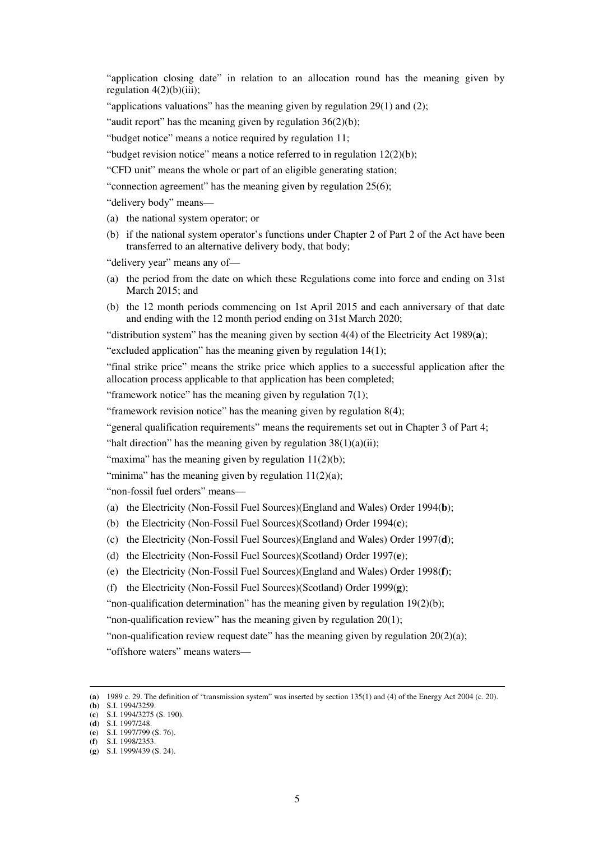"application closing date" in relation to an allocation round has the meaning given by regulation  $4(2)(b)(iii)$ ;

"applications valuations" has the meaning given by regulation 29(1) and (2);

"audit report" has the meaning given by regulation 36(2)(b);

"budget notice" means a notice required by regulation 11;

"budget revision notice" means a notice referred to in regulation  $12(2)(b)$ ;

"CFD unit" means the whole or part of an eligible generating station;

"connection agreement" has the meaning given by regulation 25(6);

"delivery body" means—

- (a) the national system operator; or
- (b) if the national system operator's functions under Chapter 2 of Part 2 of the Act have been transferred to an alternative delivery body, that body;

"delivery year" means any of—

- (a) the period from the date on which these Regulations come into force and ending on 31st March 2015; and
- (b) the 12 month periods commencing on 1st April 2015 and each anniversary of that date and ending with the 12 month period ending on 31st March 2020;

"distribution system" has the meaning given by section 4(4) of the Electricity Act 1989(**a**);

"excluded application" has the meaning given by regulation 14(1);

"final strike price" means the strike price which applies to a successful application after the allocation process applicable to that application has been completed;

"framework notice" has the meaning given by regulation  $7(1)$ ;

"framework revision notice" has the meaning given by regulation 8(4);

"general qualification requirements" means the requirements set out in Chapter 3 of Part 4;

"halt direction" has the meaning given by regulation  $38(1)(a)(ii)$ ;

"maxima" has the meaning given by regulation  $11(2)(b)$ ;

"minima" has the meaning given by regulation  $11(2)(a)$ ;

"non-fossil fuel orders" means—

- (a) the Electricity (Non-Fossil Fuel Sources)(England and Wales) Order 1994(**b**);
- (b) the Electricity (Non-Fossil Fuel Sources)(Scotland) Order 1994(**c**);
- (c) the Electricity (Non-Fossil Fuel Sources)(England and Wales) Order 1997(**d**);
- (d) the Electricity (Non-Fossil Fuel Sources)(Scotland) Order 1997(**e**);
- (e) the Electricity (Non-Fossil Fuel Sources)(England and Wales) Order 1998(**f**);

(f) the Electricity (Non-Fossil Fuel Sources)(Scotland) Order 1999(**g**);

"non-qualification determination" has the meaning given by regulation 19(2)(b);

"non-qualification review" has the meaning given by regulation 20(1);

"non-qualification review request date" has the meaning given by regulation  $20(2)(a)$ ; "offshore waters" means waters—

<sup>(</sup>**a**) 1989 c. 29. The definition of "transmission system" was inserted by section 135(1) and (4) of the Energy Act 2004 (c. 20).

<sup>(</sup>**b**) S.I. 1994/3259.

<sup>(</sup>**c**) S.I. 1994/3275 (S. 190). (**d**) S.I. 1997/248.

<sup>(</sup>**e**) S.I. 1997/799 (S. 76).

<sup>(</sup>**f**) S.I. 1998/2353.

<sup>(</sup>**g**) S.I. 1999/439 (S. 24).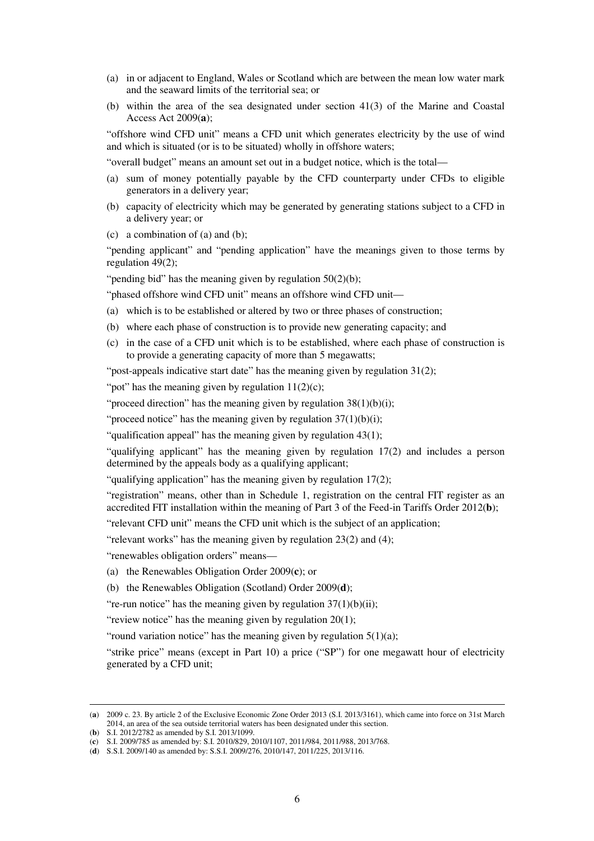- (a) in or adjacent to England, Wales or Scotland which are between the mean low water mark and the seaward limits of the territorial sea; or
- (b) within the area of the sea designated under section 41(3) of the Marine and Coastal Access Act 2009(**a**);

"offshore wind CFD unit" means a CFD unit which generates electricity by the use of wind and which is situated (or is to be situated) wholly in offshore waters;

"overall budget" means an amount set out in a budget notice, which is the total—

- (a) sum of money potentially payable by the CFD counterparty under CFDs to eligible generators in a delivery year;
- (b) capacity of electricity which may be generated by generating stations subject to a CFD in a delivery year; or
- (c) a combination of (a) and (b);

"pending applicant" and "pending application" have the meanings given to those terms by regulation 49(2);

"pending bid" has the meaning given by regulation  $50(2)(b)$ ;

- "phased offshore wind CFD unit" means an offshore wind CFD unit—
- (a) which is to be established or altered by two or three phases of construction;
- (b) where each phase of construction is to provide new generating capacity; and
- (c) in the case of a CFD unit which is to be established, where each phase of construction is to provide a generating capacity of more than 5 megawatts;

"post-appeals indicative start date" has the meaning given by regulation 31(2);

"pot" has the meaning given by regulation  $11(2)(c)$ ;

"proceed direction" has the meaning given by regulation  $38(1)(b)(i)$ ;

"proceed notice" has the meaning given by regulation  $37(1)(b)(i)$ ;

"qualification appeal" has the meaning given by regulation 43(1);

"qualifying applicant" has the meaning given by regulation 17(2) and includes a person determined by the appeals body as a qualifying applicant;

"qualifying application" has the meaning given by regulation 17(2);

"registration" means, other than in Schedule 1, registration on the central FIT register as an accredited FIT installation within the meaning of Part 3 of the Feed-in Tariffs Order 2012(**b**);

"relevant CFD unit" means the CFD unit which is the subject of an application;

"relevant works" has the meaning given by regulation 23(2) and (4);

"renewables obligation orders" means—

(a) the Renewables Obligation Order 2009(**c**); or

(b) the Renewables Obligation (Scotland) Order 2009(**d**);

"re-run notice" has the meaning given by regulation  $37(1)(b)(ii)$ ;

"review notice" has the meaning given by regulation 20(1);

"round variation notice" has the meaning given by regulation  $5(1)(a)$ ;

"strike price" means (except in Part 10) a price ("SP") for one megawatt hour of electricity generated by a CFD unit;

<sup>(</sup>**a**) 2009 c. 23. By article 2 of the Exclusive Economic Zone Order 2013 (S.I. 2013/3161), which came into force on 31st March 2014, an area of the sea outside territorial waters has been designated under this section.

<sup>(</sup>**b**) S.I. 2012/2782 as amended by S.I. 2013/1099.

<sup>(</sup>**c**) S.I. 2009/785 as amended by: S.I. 2010/829, 2010/1107, 2011/984, 2011/988, 2013/768.

<sup>(</sup>**d**) S.S.I. 2009/140 as amended by: S.S.I. 2009/276, 2010/147, 2011/225, 2013/116.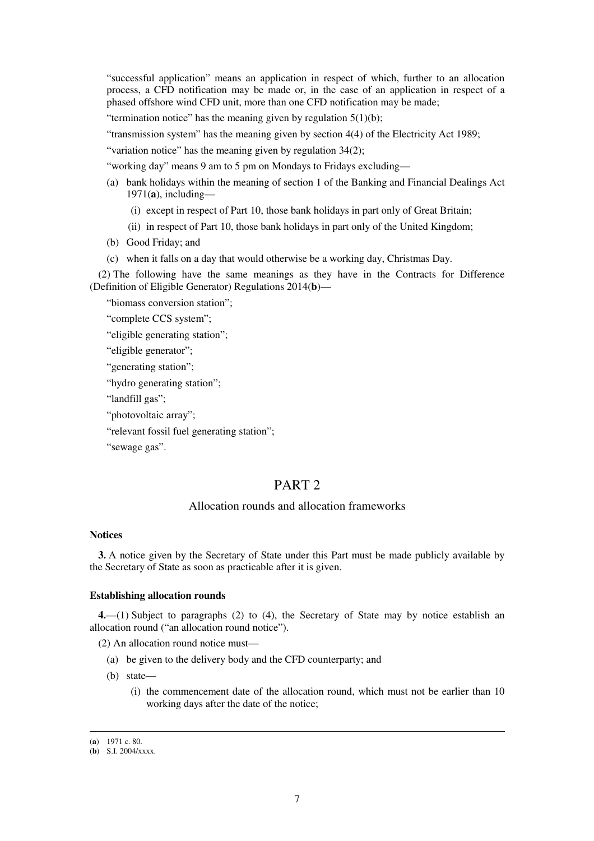"successful application" means an application in respect of which, further to an allocation process, a CFD notification may be made or, in the case of an application in respect of a phased offshore wind CFD unit, more than one CFD notification may be made;

"termination notice" has the meaning given by regulation  $5(1)(b)$ ;

"transmission system" has the meaning given by section 4(4) of the Electricity Act 1989;

"variation notice" has the meaning given by regulation 34(2);

"working day" means 9 am to 5 pm on Mondays to Fridays excluding—

- (a) bank holidays within the meaning of section 1 of the Banking and Financial Dealings Act 1971(**a**), including—
	- (i) except in respect of Part 10, those bank holidays in part only of Great Britain;
	- (ii) in respect of Part 10, those bank holidays in part only of the United Kingdom;
- (b) Good Friday; and
- (c) when it falls on a day that would otherwise be a working day, Christmas Day.

(2) The following have the same meanings as they have in the Contracts for Difference (Definition of Eligible Generator) Regulations 2014(**b**)—

"biomass conversion station";

"complete CCS system";

"eligible generating station";

"eligible generator";

"generating station";

```
"hydro generating station";
```
"landfill gas";

"photovoltaic array";

"relevant fossil fuel generating station";

"sewage gas".

## PART<sub>2</sub>

## Allocation rounds and allocation frameworks

#### **Notices**

**3.** A notice given by the Secretary of State under this Part must be made publicly available by the Secretary of State as soon as practicable after it is given.

#### **Establishing allocation rounds**

**4.**—(1) Subject to paragraphs (2) to (4), the Secretary of State may by notice establish an allocation round ("an allocation round notice").

(2) An allocation round notice must—

- (a) be given to the delivery body and the CFD counterparty; and
- (b) state—
	- (i) the commencement date of the allocation round, which must not be earlier than 10 working days after the date of the notice;

<sup>(</sup>**a**) 1971 c. 80.

<sup>(</sup>**b**) S.I. 2004/xxxx.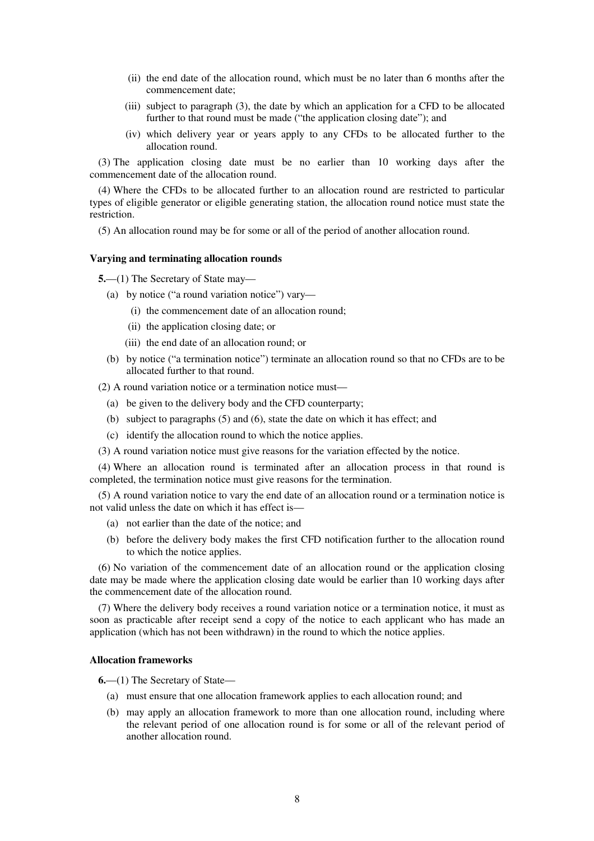- (ii) the end date of the allocation round, which must be no later than 6 months after the commencement date;
- (iii) subject to paragraph (3), the date by which an application for a CFD to be allocated further to that round must be made ("the application closing date"); and
- (iv) which delivery year or years apply to any CFDs to be allocated further to the allocation round.

(3) The application closing date must be no earlier than 10 working days after the commencement date of the allocation round.

(4) Where the CFDs to be allocated further to an allocation round are restricted to particular types of eligible generator or eligible generating station, the allocation round notice must state the restriction.

(5) An allocation round may be for some or all of the period of another allocation round.

### **Varying and terminating allocation rounds**

**5.**—(1) The Secretary of State may—

- (a) by notice ("a round variation notice") vary—
	- (i) the commencement date of an allocation round;
	- (ii) the application closing date; or
	- (iii) the end date of an allocation round; or
- (b) by notice ("a termination notice") terminate an allocation round so that no CFDs are to be allocated further to that round.

(2) A round variation notice or a termination notice must—

- (a) be given to the delivery body and the CFD counterparty;
- (b) subject to paragraphs (5) and (6), state the date on which it has effect; and
- (c) identify the allocation round to which the notice applies.
- (3) A round variation notice must give reasons for the variation effected by the notice.

(4) Where an allocation round is terminated after an allocation process in that round is completed, the termination notice must give reasons for the termination.

(5) A round variation notice to vary the end date of an allocation round or a termination notice is not valid unless the date on which it has effect is—

- (a) not earlier than the date of the notice; and
- (b) before the delivery body makes the first CFD notification further to the allocation round to which the notice applies.

(6) No variation of the commencement date of an allocation round or the application closing date may be made where the application closing date would be earlier than 10 working days after the commencement date of the allocation round.

(7) Where the delivery body receives a round variation notice or a termination notice, it must as soon as practicable after receipt send a copy of the notice to each applicant who has made an application (which has not been withdrawn) in the round to which the notice applies.

#### **Allocation frameworks**

**6.**—(1) The Secretary of State—

- (a) must ensure that one allocation framework applies to each allocation round; and
- (b) may apply an allocation framework to more than one allocation round, including where the relevant period of one allocation round is for some or all of the relevant period of another allocation round.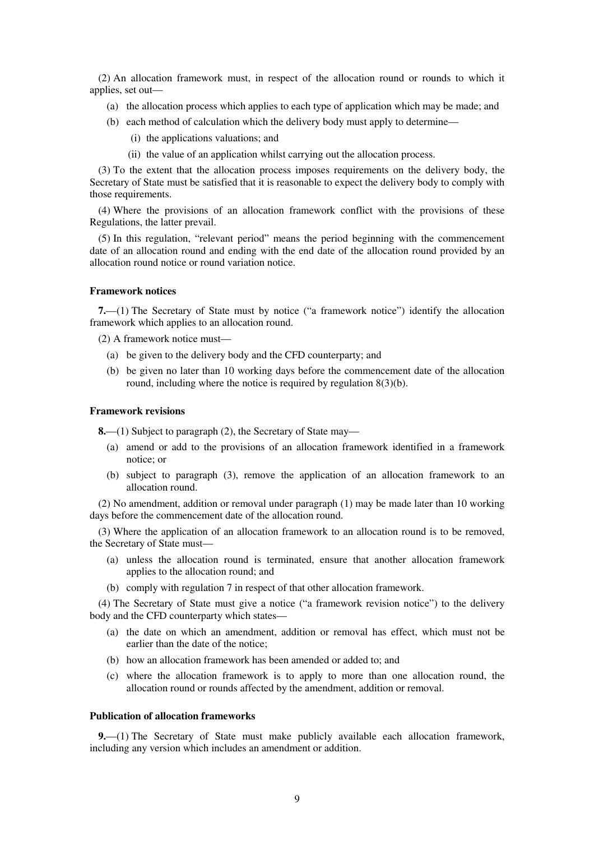(2) An allocation framework must, in respect of the allocation round or rounds to which it applies, set out—

- (a) the allocation process which applies to each type of application which may be made; and
- (b) each method of calculation which the delivery body must apply to determine—
	- (i) the applications valuations; and
	- (ii) the value of an application whilst carrying out the allocation process.

(3) To the extent that the allocation process imposes requirements on the delivery body, the Secretary of State must be satisfied that it is reasonable to expect the delivery body to comply with those requirements.

(4) Where the provisions of an allocation framework conflict with the provisions of these Regulations, the latter prevail.

(5) In this regulation, "relevant period" means the period beginning with the commencement date of an allocation round and ending with the end date of the allocation round provided by an allocation round notice or round variation notice.

### **Framework notices**

**7.**—(1) The Secretary of State must by notice ("a framework notice") identify the allocation framework which applies to an allocation round.

(2) A framework notice must—

- (a) be given to the delivery body and the CFD counterparty; and
- (b) be given no later than 10 working days before the commencement date of the allocation round, including where the notice is required by regulation 8(3)(b).

#### **Framework revisions**

**8.**—(1) Subject to paragraph (2), the Secretary of State may—

- (a) amend or add to the provisions of an allocation framework identified in a framework notice; or
- (b) subject to paragraph (3), remove the application of an allocation framework to an allocation round.

(2) No amendment, addition or removal under paragraph (1) may be made later than 10 working days before the commencement date of the allocation round.

(3) Where the application of an allocation framework to an allocation round is to be removed, the Secretary of State must—

- (a) unless the allocation round is terminated, ensure that another allocation framework applies to the allocation round; and
- (b) comply with regulation 7 in respect of that other allocation framework.

(4) The Secretary of State must give a notice ("a framework revision notice") to the delivery body and the CFD counterparty which states—

- (a) the date on which an amendment, addition or removal has effect, which must not be earlier than the date of the notice;
- (b) how an allocation framework has been amended or added to; and
- (c) where the allocation framework is to apply to more than one allocation round, the allocation round or rounds affected by the amendment, addition or removal.

#### **Publication of allocation frameworks**

**9.**—(1) The Secretary of State must make publicly available each allocation framework, including any version which includes an amendment or addition.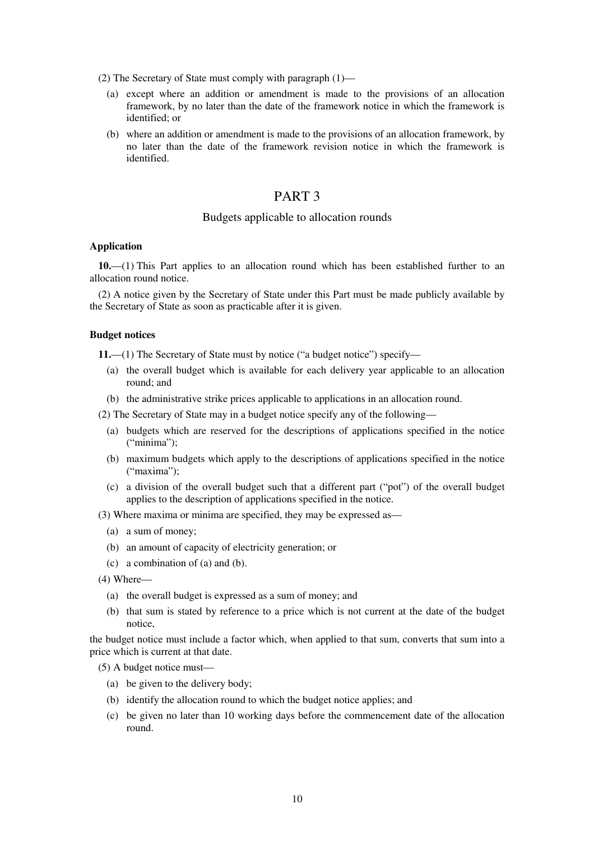- (2) The Secretary of State must comply with paragraph (1)—
	- (a) except where an addition or amendment is made to the provisions of an allocation framework, by no later than the date of the framework notice in which the framework is identified; or
	- (b) where an addition or amendment is made to the provisions of an allocation framework, by no later than the date of the framework revision notice in which the framework is identified.

## PART 3

### Budgets applicable to allocation rounds

#### **Application**

**10.**—(1) This Part applies to an allocation round which has been established further to an allocation round notice.

(2) A notice given by the Secretary of State under this Part must be made publicly available by the Secretary of State as soon as practicable after it is given.

#### **Budget notices**

**11.**—(1) The Secretary of State must by notice ("a budget notice") specify—

- (a) the overall budget which is available for each delivery year applicable to an allocation round; and
- (b) the administrative strike prices applicable to applications in an allocation round.
- (2) The Secretary of State may in a budget notice specify any of the following—
	- (a) budgets which are reserved for the descriptions of applications specified in the notice ("minima");
	- (b) maximum budgets which apply to the descriptions of applications specified in the notice ("maxima"):
	- (c) a division of the overall budget such that a different part ("pot") of the overall budget applies to the description of applications specified in the notice.
- (3) Where maxima or minima are specified, they may be expressed as—
	- (a) a sum of money;
	- (b) an amount of capacity of electricity generation; or
	- (c) a combination of (a) and (b).
- (4) Where—
	- (a) the overall budget is expressed as a sum of money; and
	- (b) that sum is stated by reference to a price which is not current at the date of the budget notice,

the budget notice must include a factor which, when applied to that sum, converts that sum into a price which is current at that date.

(5) A budget notice must—

- (a) be given to the delivery body;
- (b) identify the allocation round to which the budget notice applies; and
- (c) be given no later than 10 working days before the commencement date of the allocation round.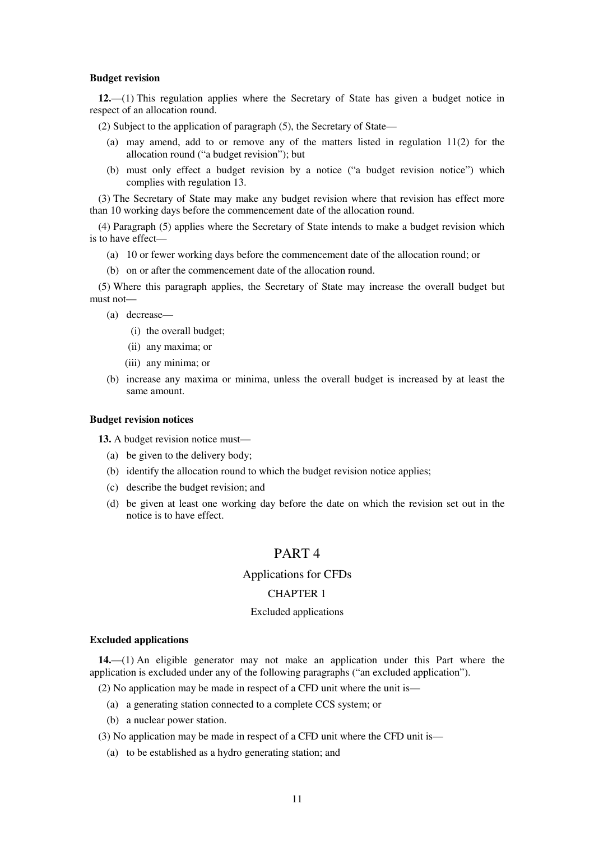#### **Budget revision**

**12.**—(1) This regulation applies where the Secretary of State has given a budget notice in respect of an allocation round.

(2) Subject to the application of paragraph (5), the Secretary of State—

- (a) may amend, add to or remove any of the matters listed in regulation 11(2) for the allocation round ("a budget revision"); but
- (b) must only effect a budget revision by a notice ("a budget revision notice") which complies with regulation 13.

(3) The Secretary of State may make any budget revision where that revision has effect more than 10 working days before the commencement date of the allocation round.

(4) Paragraph (5) applies where the Secretary of State intends to make a budget revision which is to have effect—

- (a) 10 or fewer working days before the commencement date of the allocation round; or
- (b) on or after the commencement date of the allocation round.

(5) Where this paragraph applies, the Secretary of State may increase the overall budget but must not—

- (a) decrease—
	- (i) the overall budget;
	- (ii) any maxima; or
	- (iii) any minima; or
- (b) increase any maxima or minima, unless the overall budget is increased by at least the same amount.

#### **Budget revision notices**

**13.** A budget revision notice must—

- (a) be given to the delivery body;
- (b) identify the allocation round to which the budget revision notice applies;
- (c) describe the budget revision; and
- (d) be given at least one working day before the date on which the revision set out in the notice is to have effect.

## PART 4

#### Applications for CFDs

#### CHAPTER 1

#### Excluded applications

#### **Excluded applications**

**14.**—(1) An eligible generator may not make an application under this Part where the application is excluded under any of the following paragraphs ("an excluded application").

(2) No application may be made in respect of a CFD unit where the unit is—

- (a) a generating station connected to a complete CCS system; or
- (b) a nuclear power station.

(3) No application may be made in respect of a CFD unit where the CFD unit is—

(a) to be established as a hydro generating station; and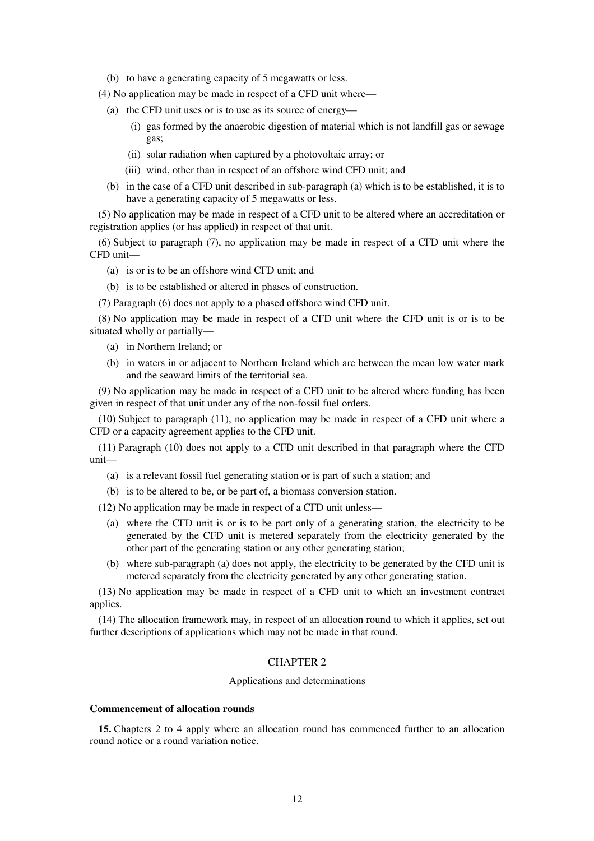(b) to have a generating capacity of 5 megawatts or less.

(4) No application may be made in respect of a CFD unit where—

- (a) the CFD unit uses or is to use as its source of energy—
	- (i) gas formed by the anaerobic digestion of material which is not landfill gas or sewage gas;
	- (ii) solar radiation when captured by a photovoltaic array; or
	- (iii) wind, other than in respect of an offshore wind CFD unit; and
- (b) in the case of a CFD unit described in sub-paragraph (a) which is to be established, it is to have a generating capacity of 5 megawatts or less.

(5) No application may be made in respect of a CFD unit to be altered where an accreditation or registration applies (or has applied) in respect of that unit.

(6) Subject to paragraph (7), no application may be made in respect of a CFD unit where the CFD unit—

- (a) is or is to be an offshore wind CFD unit; and
- (b) is to be established or altered in phases of construction.
- (7) Paragraph (6) does not apply to a phased offshore wind CFD unit.

(8) No application may be made in respect of a CFD unit where the CFD unit is or is to be situated wholly or partially—

- (a) in Northern Ireland; or
- (b) in waters in or adjacent to Northern Ireland which are between the mean low water mark and the seaward limits of the territorial sea.

(9) No application may be made in respect of a CFD unit to be altered where funding has been given in respect of that unit under any of the non-fossil fuel orders.

(10) Subject to paragraph (11), no application may be made in respect of a CFD unit where a CFD or a capacity agreement applies to the CFD unit.

(11) Paragraph (10) does not apply to a CFD unit described in that paragraph where the CFD unit—

- (a) is a relevant fossil fuel generating station or is part of such a station; and
- (b) is to be altered to be, or be part of, a biomass conversion station.

(12) No application may be made in respect of a CFD unit unless—

- (a) where the CFD unit is or is to be part only of a generating station, the electricity to be generated by the CFD unit is metered separately from the electricity generated by the other part of the generating station or any other generating station;
- (b) where sub-paragraph (a) does not apply, the electricity to be generated by the CFD unit is metered separately from the electricity generated by any other generating station.

(13) No application may be made in respect of a CFD unit to which an investment contract applies.

(14) The allocation framework may, in respect of an allocation round to which it applies, set out further descriptions of applications which may not be made in that round.

### CHAPTER 2

#### Applications and determinations

#### **Commencement of allocation rounds**

**15.** Chapters 2 to 4 apply where an allocation round has commenced further to an allocation round notice or a round variation notice.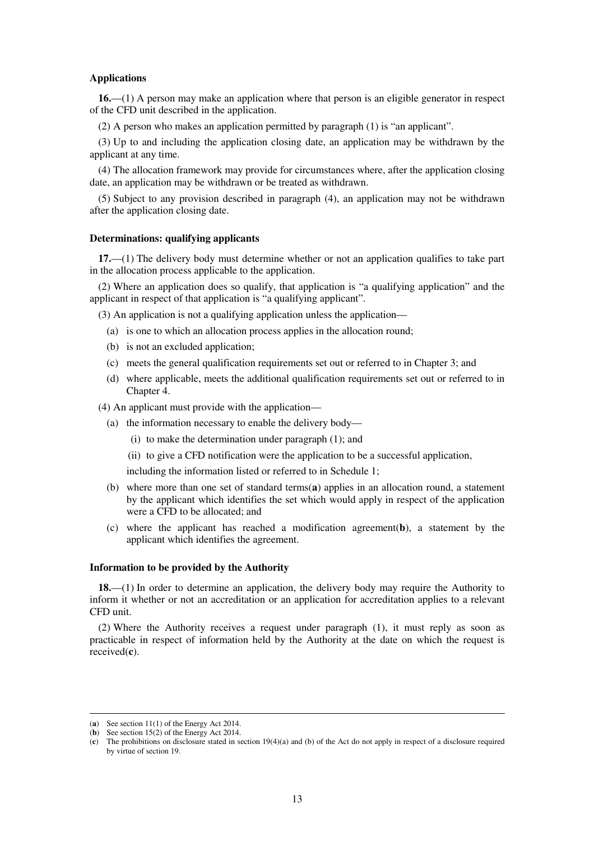#### **Applications**

**16.**—(1) A person may make an application where that person is an eligible generator in respect of the CFD unit described in the application.

(2) A person who makes an application permitted by paragraph (1) is "an applicant".

(3) Up to and including the application closing date, an application may be withdrawn by the applicant at any time.

(4) The allocation framework may provide for circumstances where, after the application closing date, an application may be withdrawn or be treated as withdrawn.

(5) Subject to any provision described in paragraph (4), an application may not be withdrawn after the application closing date.

#### **Determinations: qualifying applicants**

**17.**—(1) The delivery body must determine whether or not an application qualifies to take part in the allocation process applicable to the application.

(2) Where an application does so qualify, that application is "a qualifying application" and the applicant in respect of that application is "a qualifying applicant".

(3) An application is not a qualifying application unless the application—

- (a) is one to which an allocation process applies in the allocation round;
- (b) is not an excluded application;
- (c) meets the general qualification requirements set out or referred to in Chapter 3; and
- (d) where applicable, meets the additional qualification requirements set out or referred to in Chapter 4.

(4) An applicant must provide with the application—

- (a) the information necessary to enable the delivery body—
	- (i) to make the determination under paragraph (1); and
	- (ii) to give a CFD notification were the application to be a successful application,

including the information listed or referred to in Schedule 1;

- (b) where more than one set of standard terms(**a**) applies in an allocation round, a statement by the applicant which identifies the set which would apply in respect of the application were a CFD to be allocated; and
- (c) where the applicant has reached a modification agreement(**b**), a statement by the applicant which identifies the agreement.

#### **Information to be provided by the Authority**

**18.**—(1) In order to determine an application, the delivery body may require the Authority to inform it whether or not an accreditation or an application for accreditation applies to a relevant CFD unit.

(2) Where the Authority receives a request under paragraph (1), it must reply as soon as practicable in respect of information held by the Authority at the date on which the request is received(**c**).

<sup>(</sup>**a**) See section 11(1) of the Energy Act 2014.

<sup>(</sup>**b**) See section 15(2) of the Energy Act 2014.

<sup>(</sup>**c**) The prohibitions on disclosure stated in section 19(4)(a) and (b) of the Act do not apply in respect of a disclosure required by virtue of section 19.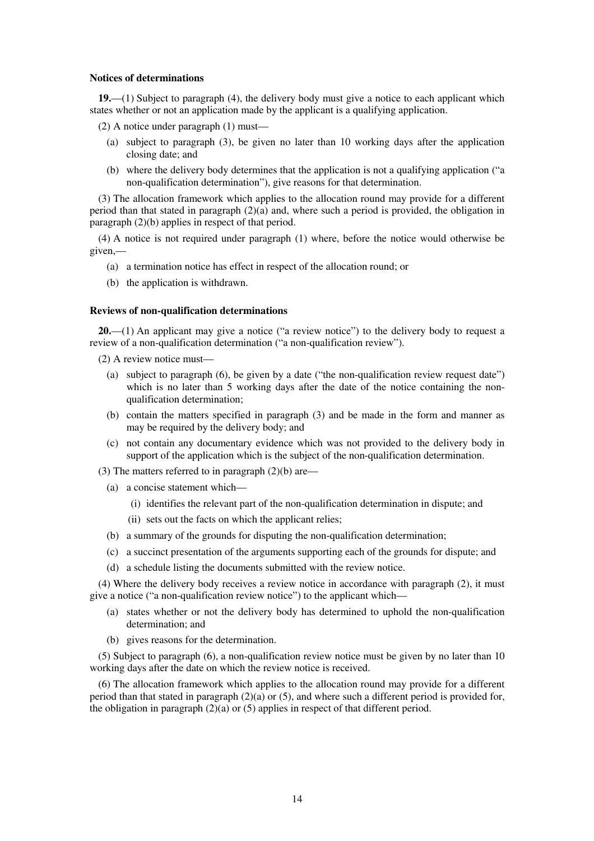#### **Notices of determinations**

**19.**—(1) Subject to paragraph (4), the delivery body must give a notice to each applicant which states whether or not an application made by the applicant is a qualifying application.

- (2) A notice under paragraph (1) must—
	- (a) subject to paragraph (3), be given no later than 10 working days after the application closing date; and
	- (b) where the delivery body determines that the application is not a qualifying application ("a non-qualification determination"), give reasons for that determination.

(3) The allocation framework which applies to the allocation round may provide for a different period than that stated in paragraph (2)(a) and, where such a period is provided, the obligation in paragraph (2)(b) applies in respect of that period.

(4) A notice is not required under paragraph (1) where, before the notice would otherwise be given,—

- (a) a termination notice has effect in respect of the allocation round; or
- (b) the application is withdrawn.

#### **Reviews of non-qualification determinations**

**20.**—(1) An applicant may give a notice ("a review notice") to the delivery body to request a review of a non-qualification determination ("a non-qualification review").

(2) A review notice must—

- (a) subject to paragraph (6), be given by a date ("the non-qualification review request date") which is no later than 5 working days after the date of the notice containing the nonqualification determination;
- (b) contain the matters specified in paragraph (3) and be made in the form and manner as may be required by the delivery body; and
- (c) not contain any documentary evidence which was not provided to the delivery body in support of the application which is the subject of the non-qualification determination.
- (3) The matters referred to in paragraph  $(2)(b)$  are—
	- (a) a concise statement which—
		- (i) identifies the relevant part of the non-qualification determination in dispute; and
		- (ii) sets out the facts on which the applicant relies;
	- (b) a summary of the grounds for disputing the non-qualification determination;
	- (c) a succinct presentation of the arguments supporting each of the grounds for dispute; and
	- (d) a schedule listing the documents submitted with the review notice.

(4) Where the delivery body receives a review notice in accordance with paragraph (2), it must give a notice ("a non-qualification review notice") to the applicant which—

- (a) states whether or not the delivery body has determined to uphold the non-qualification determination; and
- (b) gives reasons for the determination.

(5) Subject to paragraph (6), a non-qualification review notice must be given by no later than 10 working days after the date on which the review notice is received.

(6) The allocation framework which applies to the allocation round may provide for a different period than that stated in paragraph  $(2)(a)$  or  $(5)$ , and where such a different period is provided for, the obligation in paragraph  $(2)(a)$  or  $(5)$  applies in respect of that different period.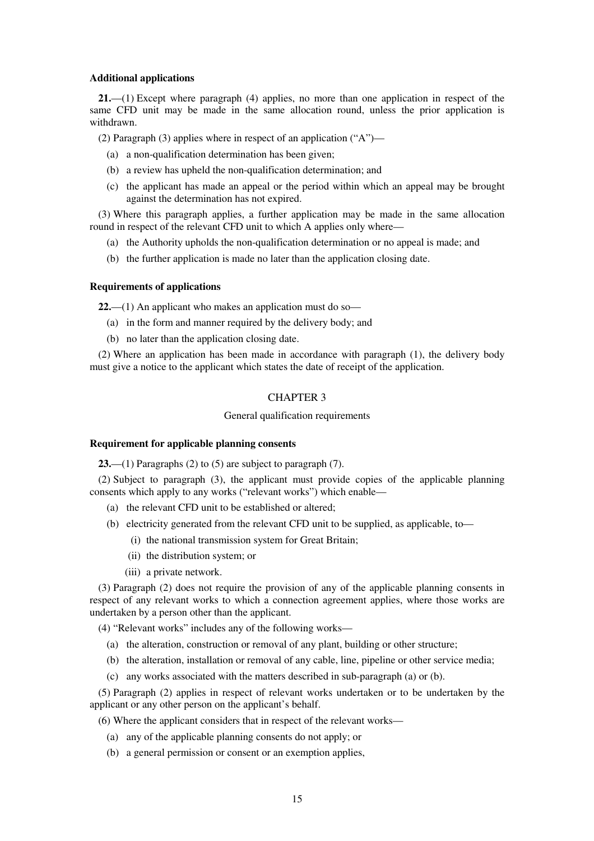#### **Additional applications**

**21.**—(1) Except where paragraph (4) applies, no more than one application in respect of the same CFD unit may be made in the same allocation round, unless the prior application is withdrawn.

(2) Paragraph (3) applies where in respect of an application ("A")—

- (a) a non-qualification determination has been given;
- (b) a review has upheld the non-qualification determination; and
- (c) the applicant has made an appeal or the period within which an appeal may be brought against the determination has not expired.

(3) Where this paragraph applies, a further application may be made in the same allocation round in respect of the relevant CFD unit to which A applies only where—

- (a) the Authority upholds the non-qualification determination or no appeal is made; and
- (b) the further application is made no later than the application closing date.

#### **Requirements of applications**

**22.**—(1) An applicant who makes an application must do so—

- (a) in the form and manner required by the delivery body; and
- (b) no later than the application closing date.

(2) Where an application has been made in accordance with paragraph (1), the delivery body must give a notice to the applicant which states the date of receipt of the application.

#### CHAPTER 3

#### General qualification requirements

#### **Requirement for applicable planning consents**

**23.**—(1) Paragraphs (2) to (5) are subject to paragraph (7).

(2) Subject to paragraph (3), the applicant must provide copies of the applicable planning consents which apply to any works ("relevant works") which enable—

- (a) the relevant CFD unit to be established or altered;
- (b) electricity generated from the relevant CFD unit to be supplied, as applicable, to—
	- (i) the national transmission system for Great Britain;
	- (ii) the distribution system; or
	- (iii) a private network.

(3) Paragraph (2) does not require the provision of any of the applicable planning consents in respect of any relevant works to which a connection agreement applies, where those works are undertaken by a person other than the applicant.

(4) "Relevant works" includes any of the following works—

- (a) the alteration, construction or removal of any plant, building or other structure;
- (b) the alteration, installation or removal of any cable, line, pipeline or other service media;
- (c) any works associated with the matters described in sub-paragraph (a) or (b).

(5) Paragraph (2) applies in respect of relevant works undertaken or to be undertaken by the applicant or any other person on the applicant's behalf.

(6) Where the applicant considers that in respect of the relevant works—

- (a) any of the applicable planning consents do not apply; or
- (b) a general permission or consent or an exemption applies,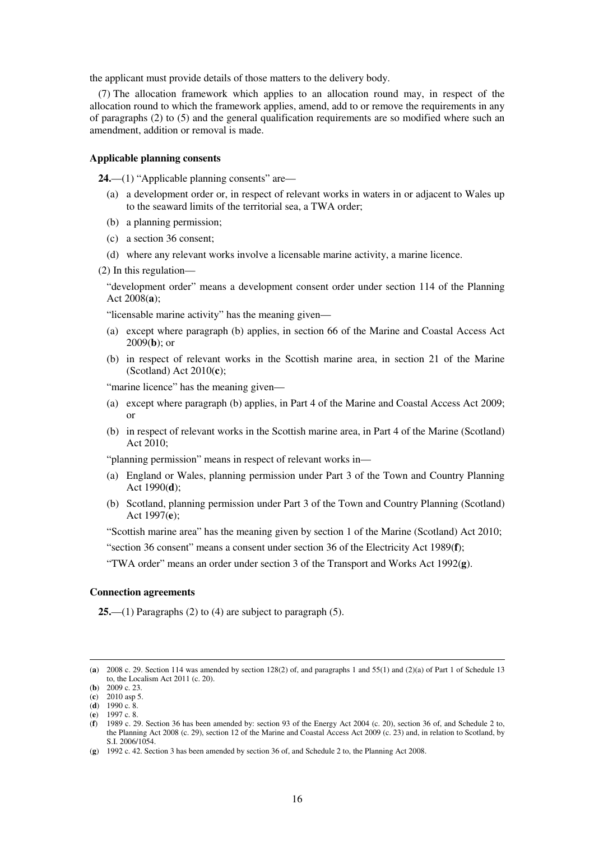the applicant must provide details of those matters to the delivery body.

(7) The allocation framework which applies to an allocation round may, in respect of the allocation round to which the framework applies, amend, add to or remove the requirements in any of paragraphs (2) to (5) and the general qualification requirements are so modified where such an amendment, addition or removal is made.

#### **Applicable planning consents**

**24.**—(1) "Applicable planning consents" are—

- (a) a development order or, in respect of relevant works in waters in or adjacent to Wales up to the seaward limits of the territorial sea, a TWA order;
- (b) a planning permission;
- (c) a section 36 consent;
- (d) where any relevant works involve a licensable marine activity, a marine licence.
- (2) In this regulation—

"development order" means a development consent order under section 114 of the Planning Act 2008(**a**);

"licensable marine activity" has the meaning given—

- (a) except where paragraph (b) applies, in section 66 of the Marine and Coastal Access Act 2009(**b**); or
- (b) in respect of relevant works in the Scottish marine area, in section 21 of the Marine (Scotland) Act 2010(**c**);

"marine licence" has the meaning given—

- (a) except where paragraph (b) applies, in Part 4 of the Marine and Coastal Access Act 2009; or
- (b) in respect of relevant works in the Scottish marine area, in Part 4 of the Marine (Scotland) Act 2010;

"planning permission" means in respect of relevant works in—

- (a) England or Wales, planning permission under Part 3 of the Town and Country Planning Act 1990(**d**);
- (b) Scotland, planning permission under Part 3 of the Town and Country Planning (Scotland) Act 1997(**e**);

"Scottish marine area" has the meaning given by section 1 of the Marine (Scotland) Act 2010;

"section 36 consent" means a consent under section 36 of the Electricity Act 1989(**f**);

"TWA order" means an order under section 3 of the Transport and Works Act 1992(**g**).

#### **Connection agreements**

**25.**—(1) Paragraphs (2) to (4) are subject to paragraph (5).

<sup>(</sup>**a**) 2008 c. 29. Section 114 was amended by section 128(2) of, and paragraphs 1 and 55(1) and (2)(a) of Part 1 of Schedule 13 to, the Localism Act 2011 (c. 20).

<sup>(</sup>**b**) 2009 c. 23.

<sup>(</sup>**c**) 2010 asp 5.

<sup>(</sup>**d**) 1990 c. 8. (**e**) 1997 c. 8.

<sup>(</sup>**f**) 1989 c. 29. Section 36 has been amended by: section 93 of the Energy Act 2004 (c. 20), section 36 of, and Schedule 2 to, the Planning Act 2008 (c. 29), section 12 of the Marine and Coastal Access Act 2009 (c. 23) and, in relation to Scotland, by S.I. 2006/1054.

<sup>(</sup>**g**) 1992 c. 42. Section 3 has been amended by section 36 of, and Schedule 2 to, the Planning Act 2008.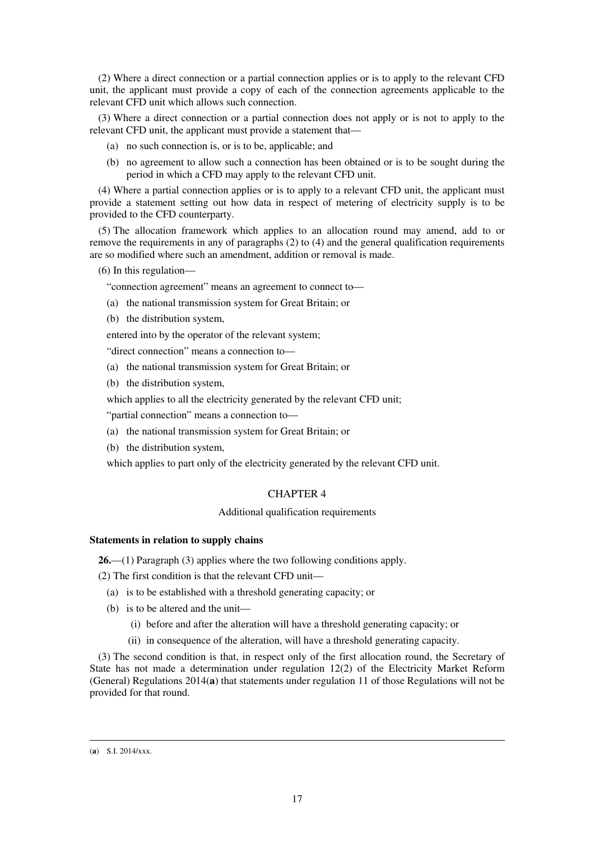(2) Where a direct connection or a partial connection applies or is to apply to the relevant CFD unit, the applicant must provide a copy of each of the connection agreements applicable to the relevant CFD unit which allows such connection.

(3) Where a direct connection or a partial connection does not apply or is not to apply to the relevant CFD unit, the applicant must provide a statement that—

- (a) no such connection is, or is to be, applicable; and
- (b) no agreement to allow such a connection has been obtained or is to be sought during the period in which a CFD may apply to the relevant CFD unit.

(4) Where a partial connection applies or is to apply to a relevant CFD unit, the applicant must provide a statement setting out how data in respect of metering of electricity supply is to be provided to the CFD counterparty.

(5) The allocation framework which applies to an allocation round may amend, add to or remove the requirements in any of paragraphs (2) to (4) and the general qualification requirements are so modified where such an amendment, addition or removal is made.

(6) In this regulation—

"connection agreement" means an agreement to connect to—

- (a) the national transmission system for Great Britain; or
- (b) the distribution system,

entered into by the operator of the relevant system;

"direct connection" means a connection to—

- (a) the national transmission system for Great Britain; or
- (b) the distribution system,
- which applies to all the electricity generated by the relevant CFD unit;

"partial connection" means a connection to—

- (a) the national transmission system for Great Britain; or
- (b) the distribution system,

which applies to part only of the electricity generated by the relevant CFD unit.

#### CHAPTER 4

#### Additional qualification requirements

#### **Statements in relation to supply chains**

**26.**—(1) Paragraph (3) applies where the two following conditions apply.

(2) The first condition is that the relevant CFD unit—

- (a) is to be established with a threshold generating capacity; or
- (b) is to be altered and the unit—
	- (i) before and after the alteration will have a threshold generating capacity; or
	- (ii) in consequence of the alteration, will have a threshold generating capacity.

(3) The second condition is that, in respect only of the first allocation round, the Secretary of State has not made a determination under regulation 12(2) of the Electricity Market Reform (General) Regulations 2014(**a**) that statements under regulation 11 of those Regulations will not be provided for that round.

<sup>(</sup>**a**) S.I. 2014/xxx.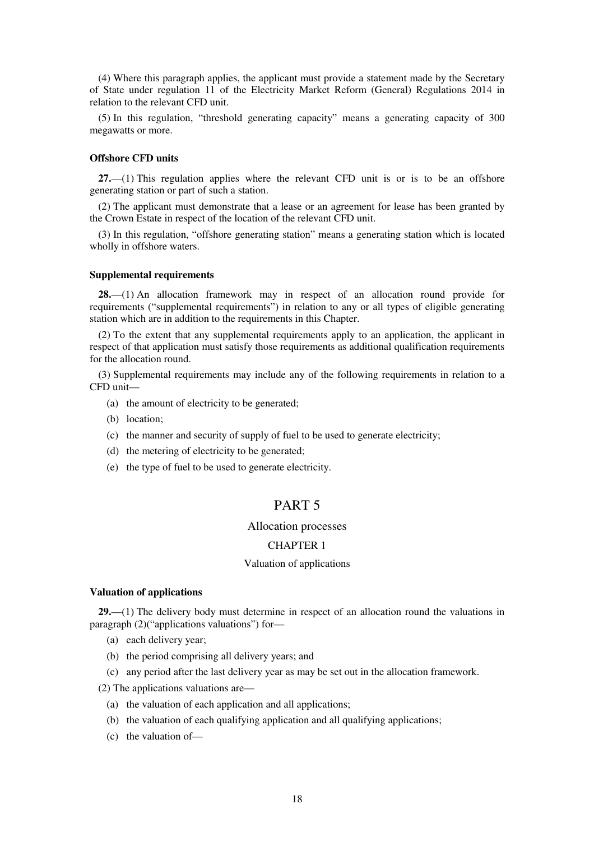(4) Where this paragraph applies, the applicant must provide a statement made by the Secretary of State under regulation 11 of the Electricity Market Reform (General) Regulations 2014 in relation to the relevant CFD unit.

(5) In this regulation, "threshold generating capacity" means a generating capacity of 300 megawatts or more.

#### **Offshore CFD units**

**27.**—(1) This regulation applies where the relevant CFD unit is or is to be an offshore generating station or part of such a station.

(2) The applicant must demonstrate that a lease or an agreement for lease has been granted by the Crown Estate in respect of the location of the relevant CFD unit.

(3) In this regulation, "offshore generating station" means a generating station which is located wholly in offshore waters.

#### **Supplemental requirements**

**28.**—(1) An allocation framework may in respect of an allocation round provide for requirements ("supplemental requirements") in relation to any or all types of eligible generating station which are in addition to the requirements in this Chapter.

(2) To the extent that any supplemental requirements apply to an application, the applicant in respect of that application must satisfy those requirements as additional qualification requirements for the allocation round.

(3) Supplemental requirements may include any of the following requirements in relation to a CFD unit—

- (a) the amount of electricity to be generated;
- (b) location;
- (c) the manner and security of supply of fuel to be used to generate electricity;
- (d) the metering of electricity to be generated;
- (e) the type of fuel to be used to generate electricity.

## PART 5

#### Allocation processes

### CHAPTER 1

#### Valuation of applications

#### **Valuation of applications**

**29.**—(1) The delivery body must determine in respect of an allocation round the valuations in paragraph (2)("applications valuations") for—

- (a) each delivery year;
- (b) the period comprising all delivery years; and
- (c) any period after the last delivery year as may be set out in the allocation framework.

(2) The applications valuations are—

- (a) the valuation of each application and all applications;
- (b) the valuation of each qualifying application and all qualifying applications;
- (c) the valuation of—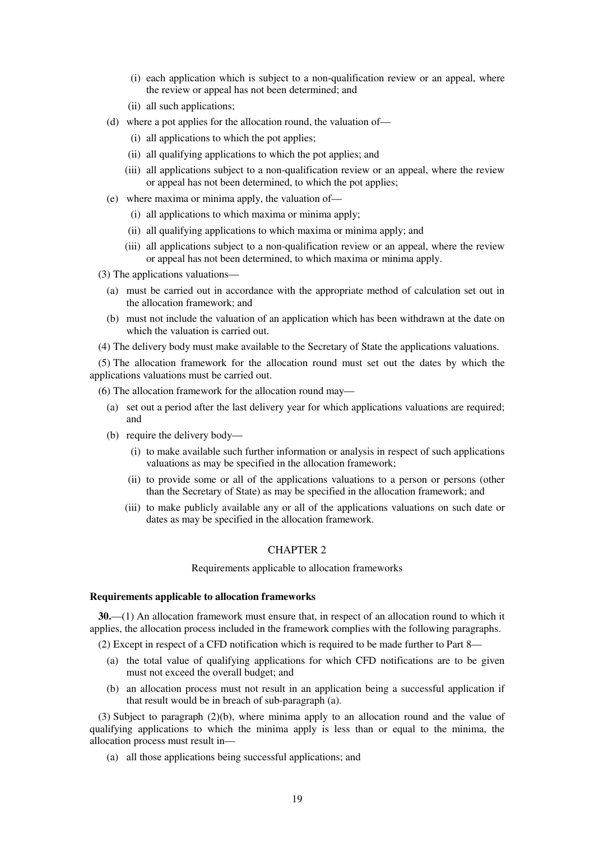- (i) each application which is subject to a non-qualification review or an appeal, where the review or appeal has not been determined; and
- (ii) all such applications;
- (d) where a pot applies for the allocation round, the valuation of—
	- (i) all applications to which the pot applies;
	- (ii) all qualifying applications to which the pot applies; and
	- (iii) all applications subject to a non-qualification review or an appeal, where the review or appeal has not been determined, to which the pot applies;
- (e) where maxima or minima apply, the valuation of—
	- (i) all applications to which maxima or minima apply;
	- (ii) all qualifying applications to which maxima or minima apply; and
	- (iii) all applications subject to a non-qualification review or an appeal, where the review or appeal has not been determined, to which maxima or minima apply.
- (3) The applications valuations—
	- (a) must be carried out in accordance with the appropriate method of calculation set out in the allocation framework; and
	- (b) must not include the valuation of an application which has been withdrawn at the date on which the valuation is carried out.
- (4) The delivery body must make available to the Secretary of State the applications valuations.

(5) The allocation framework for the allocation round must set out the dates by which the applications valuations must be carried out.

(6) The allocation framework for the allocation round may—

- (a) set out a period after the last delivery year for which applications valuations are required; and
- (b) require the delivery body—
	- (i) to make available such further information or analysis in respect of such applications valuations as may be specified in the allocation framework;
	- (ii) to provide some or all of the applications valuations to a person or persons (other than the Secretary of State) as may be specified in the allocation framework; and
	- (iii) to make publicly available any or all of the applications valuations on such date or dates as may be specified in the allocation framework.

#### CHAPTER 2

Requirements applicable to allocation frameworks

#### **Requirements applicable to allocation frameworks**

**30.**—(1) An allocation framework must ensure that, in respect of an allocation round to which it applies, the allocation process included in the framework complies with the following paragraphs.

(2) Except in respect of a CFD notification which is required to be made further to Part 8—

- (a) the total value of qualifying applications for which CFD notifications are to be given must not exceed the overall budget; and
- (b) an allocation process must not result in an application being a successful application if that result would be in breach of sub-paragraph (a).

(3) Subject to paragraph (2)(b), where minima apply to an allocation round and the value of qualifying applications to which the minima apply is less than or equal to the minima, the allocation process must result in—

(a) all those applications being successful applications; and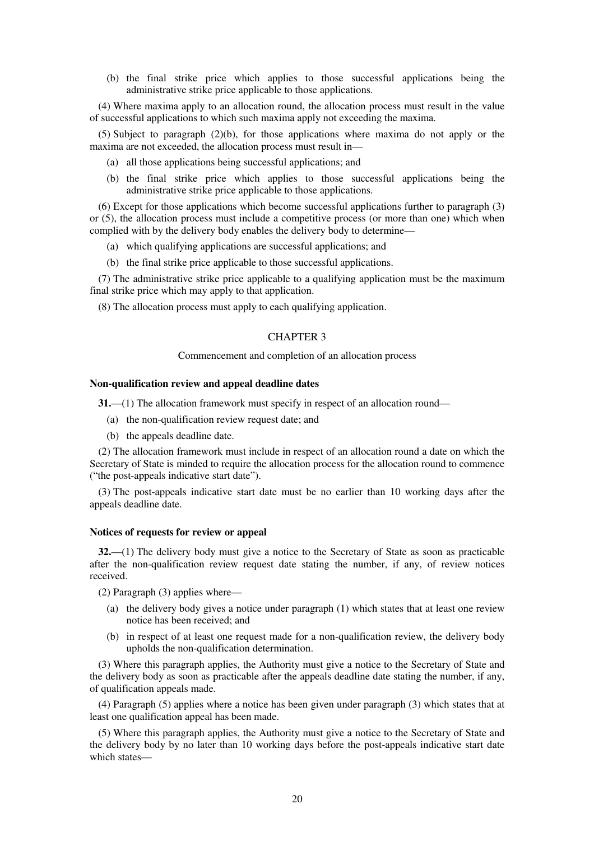(b) the final strike price which applies to those successful applications being the administrative strike price applicable to those applications.

(4) Where maxima apply to an allocation round, the allocation process must result in the value of successful applications to which such maxima apply not exceeding the maxima.

(5) Subject to paragraph (2)(b), for those applications where maxima do not apply or the maxima are not exceeded, the allocation process must result in—

- (a) all those applications being successful applications; and
- (b) the final strike price which applies to those successful applications being the administrative strike price applicable to those applications.

(6) Except for those applications which become successful applications further to paragraph (3) or (5), the allocation process must include a competitive process (or more than one) which when complied with by the delivery body enables the delivery body to determine—

- (a) which qualifying applications are successful applications; and
- (b) the final strike price applicable to those successful applications.

(7) The administrative strike price applicable to a qualifying application must be the maximum final strike price which may apply to that application.

(8) The allocation process must apply to each qualifying application.

#### CHAPTER 3

#### Commencement and completion of an allocation process

#### **Non-qualification review and appeal deadline dates**

**31.**—(1) The allocation framework must specify in respect of an allocation round—

- (a) the non-qualification review request date; and
- (b) the appeals deadline date.

(2) The allocation framework must include in respect of an allocation round a date on which the Secretary of State is minded to require the allocation process for the allocation round to commence ("the post-appeals indicative start date").

(3) The post-appeals indicative start date must be no earlier than 10 working days after the appeals deadline date.

#### **Notices of requests for review or appeal**

**32.**—(1) The delivery body must give a notice to the Secretary of State as soon as practicable after the non-qualification review request date stating the number, if any, of review notices received.

(2) Paragraph (3) applies where—

- (a) the delivery body gives a notice under paragraph (1) which states that at least one review notice has been received; and
- (b) in respect of at least one request made for a non-qualification review, the delivery body upholds the non-qualification determination.

(3) Where this paragraph applies, the Authority must give a notice to the Secretary of State and the delivery body as soon as practicable after the appeals deadline date stating the number, if any, of qualification appeals made.

(4) Paragraph (5) applies where a notice has been given under paragraph (3) which states that at least one qualification appeal has been made.

(5) Where this paragraph applies, the Authority must give a notice to the Secretary of State and the delivery body by no later than 10 working days before the post-appeals indicative start date which states—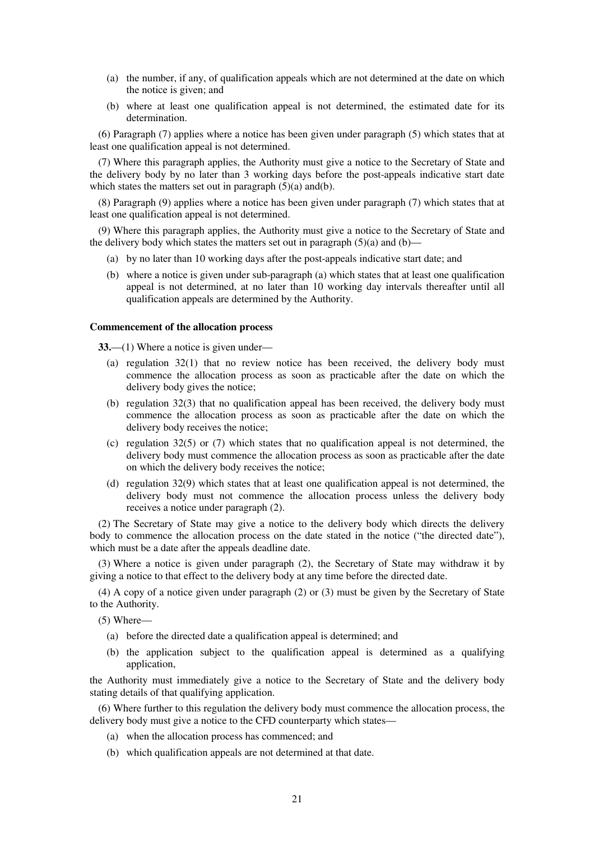- (a) the number, if any, of qualification appeals which are not determined at the date on which the notice is given; and
- (b) where at least one qualification appeal is not determined, the estimated date for its determination.

(6) Paragraph (7) applies where a notice has been given under paragraph (5) which states that at least one qualification appeal is not determined.

(7) Where this paragraph applies, the Authority must give a notice to the Secretary of State and the delivery body by no later than 3 working days before the post-appeals indicative start date which states the matters set out in paragraph  $(5)(a)$  and  $(b)$ .

(8) Paragraph (9) applies where a notice has been given under paragraph (7) which states that at least one qualification appeal is not determined.

(9) Where this paragraph applies, the Authority must give a notice to the Secretary of State and the delivery body which states the matters set out in paragraph  $(5)(a)$  and  $(b)$ —

- (a) by no later than 10 working days after the post-appeals indicative start date; and
- (b) where a notice is given under sub-paragraph (a) which states that at least one qualification appeal is not determined, at no later than 10 working day intervals thereafter until all qualification appeals are determined by the Authority.

#### **Commencement of the allocation process**

**33.**—(1) Where a notice is given under—

- (a) regulation 32(1) that no review notice has been received, the delivery body must commence the allocation process as soon as practicable after the date on which the delivery body gives the notice;
- (b) regulation  $32(3)$  that no qualification appeal has been received, the delivery body must commence the allocation process as soon as practicable after the date on which the delivery body receives the notice;
- (c) regulation 32(5) or (7) which states that no qualification appeal is not determined, the delivery body must commence the allocation process as soon as practicable after the date on which the delivery body receives the notice;
- (d) regulation 32(9) which states that at least one qualification appeal is not determined, the delivery body must not commence the allocation process unless the delivery body receives a notice under paragraph (2).

(2) The Secretary of State may give a notice to the delivery body which directs the delivery body to commence the allocation process on the date stated in the notice ("the directed date"), which must be a date after the appeals deadline date.

(3) Where a notice is given under paragraph (2), the Secretary of State may withdraw it by giving a notice to that effect to the delivery body at any time before the directed date.

(4) A copy of a notice given under paragraph (2) or (3) must be given by the Secretary of State to the Authority.

(5) Where—

- (a) before the directed date a qualification appeal is determined; and
- (b) the application subject to the qualification appeal is determined as a qualifying application,

the Authority must immediately give a notice to the Secretary of State and the delivery body stating details of that qualifying application.

(6) Where further to this regulation the delivery body must commence the allocation process, the delivery body must give a notice to the CFD counterparty which states—

- (a) when the allocation process has commenced; and
- (b) which qualification appeals are not determined at that date.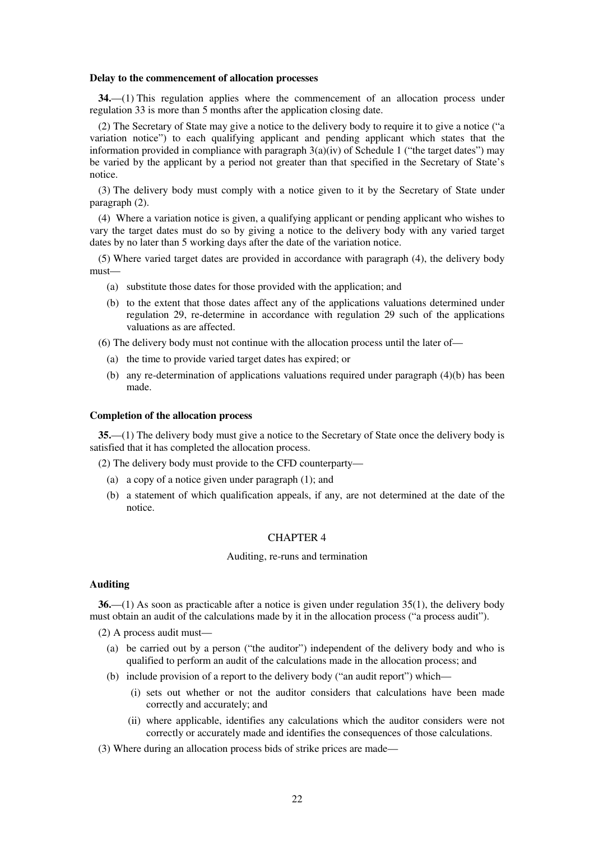#### **Delay to the commencement of allocation processes**

**34.**—(1) This regulation applies where the commencement of an allocation process under regulation 33 is more than 5 months after the application closing date.

(2) The Secretary of State may give a notice to the delivery body to require it to give a notice ("a variation notice") to each qualifying applicant and pending applicant which states that the information provided in compliance with paragraph  $3(a)(iv)$  of Schedule 1 ("the target dates") may be varied by the applicant by a period not greater than that specified in the Secretary of State's notice.

(3) The delivery body must comply with a notice given to it by the Secretary of State under paragraph (2).

(4) Where a variation notice is given, a qualifying applicant or pending applicant who wishes to vary the target dates must do so by giving a notice to the delivery body with any varied target dates by no later than 5 working days after the date of the variation notice.

(5) Where varied target dates are provided in accordance with paragraph (4), the delivery body must—

- (a) substitute those dates for those provided with the application; and
- (b) to the extent that those dates affect any of the applications valuations determined under regulation 29, re-determine in accordance with regulation 29 such of the applications valuations as are affected.

(6) The delivery body must not continue with the allocation process until the later of—

- (a) the time to provide varied target dates has expired; or
- (b) any re-determination of applications valuations required under paragraph (4)(b) has been made.

#### **Completion of the allocation process**

**35.**—(1) The delivery body must give a notice to the Secretary of State once the delivery body is satisfied that it has completed the allocation process.

(2) The delivery body must provide to the CFD counterparty—

- (a) a copy of a notice given under paragraph (1); and
- (b) a statement of which qualification appeals, if any, are not determined at the date of the notice.

#### CHAPTER 4

#### Auditing, re-runs and termination

## **Auditing**

**36.**—(1) As soon as practicable after a notice is given under regulation 35(1), the delivery body must obtain an audit of the calculations made by it in the allocation process ("a process audit").

(2) A process audit must—

- (a) be carried out by a person ("the auditor") independent of the delivery body and who is qualified to perform an audit of the calculations made in the allocation process; and
- (b) include provision of a report to the delivery body ("an audit report") which—
	- (i) sets out whether or not the auditor considers that calculations have been made correctly and accurately; and
	- (ii) where applicable, identifies any calculations which the auditor considers were not correctly or accurately made and identifies the consequences of those calculations.

(3) Where during an allocation process bids of strike prices are made—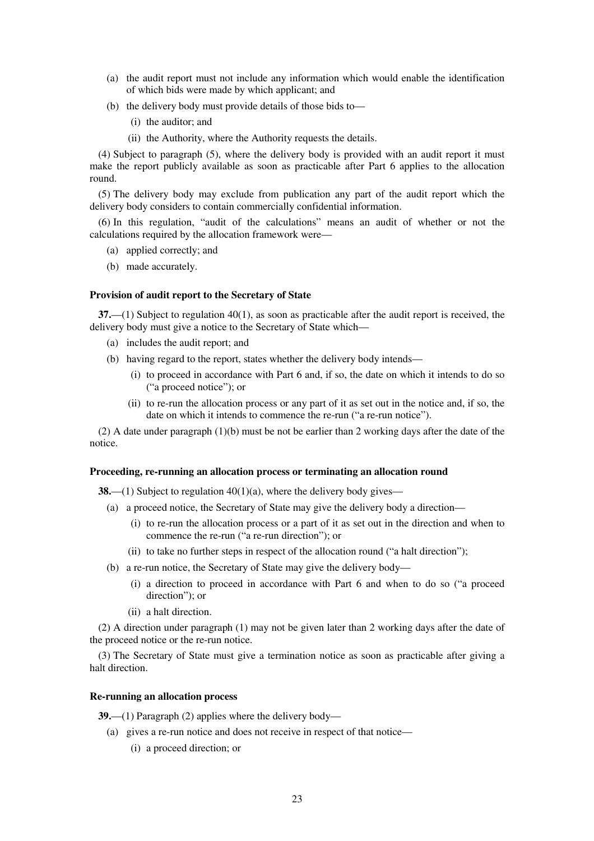- (a) the audit report must not include any information which would enable the identification of which bids were made by which applicant; and
- (b) the delivery body must provide details of those bids to—
	- (i) the auditor; and
	- (ii) the Authority, where the Authority requests the details.

(4) Subject to paragraph (5), where the delivery body is provided with an audit report it must make the report publicly available as soon as practicable after Part 6 applies to the allocation round.

(5) The delivery body may exclude from publication any part of the audit report which the delivery body considers to contain commercially confidential information.

(6) In this regulation, "audit of the calculations" means an audit of whether or not the calculations required by the allocation framework were—

- (a) applied correctly; and
- (b) made accurately.

#### **Provision of audit report to the Secretary of State**

**37.**—(1) Subject to regulation 40(1), as soon as practicable after the audit report is received, the delivery body must give a notice to the Secretary of State which—

- (a) includes the audit report; and
- (b) having regard to the report, states whether the delivery body intends—
	- (i) to proceed in accordance with Part 6 and, if so, the date on which it intends to do so ("a proceed notice"); or
	- (ii) to re-run the allocation process or any part of it as set out in the notice and, if so, the date on which it intends to commence the re-run ("a re-run notice").

(2) A date under paragraph (1)(b) must be not be earlier than 2 working days after the date of the notice.

#### **Proceeding, re-running an allocation process or terminating an allocation round**

**38.**—(1) Subject to regulation 40(1)(a), where the delivery body gives—

- (a) a proceed notice, the Secretary of State may give the delivery body a direction—
	- (i) to re-run the allocation process or a part of it as set out in the direction and when to commence the re-run ("a re-run direction"); or
	- (ii) to take no further steps in respect of the allocation round ("a halt direction");
- (b) a re-run notice, the Secretary of State may give the delivery body—
	- (i) a direction to proceed in accordance with Part 6 and when to do so ("a proceed direction"); or
	- (ii) a halt direction.

(2) A direction under paragraph (1) may not be given later than 2 working days after the date of the proceed notice or the re-run notice.

(3) The Secretary of State must give a termination notice as soon as practicable after giving a halt direction.

#### **Re-running an allocation process**

**39.**—(1) Paragraph (2) applies where the delivery body—

- (a) gives a re-run notice and does not receive in respect of that notice—
	- (i) a proceed direction; or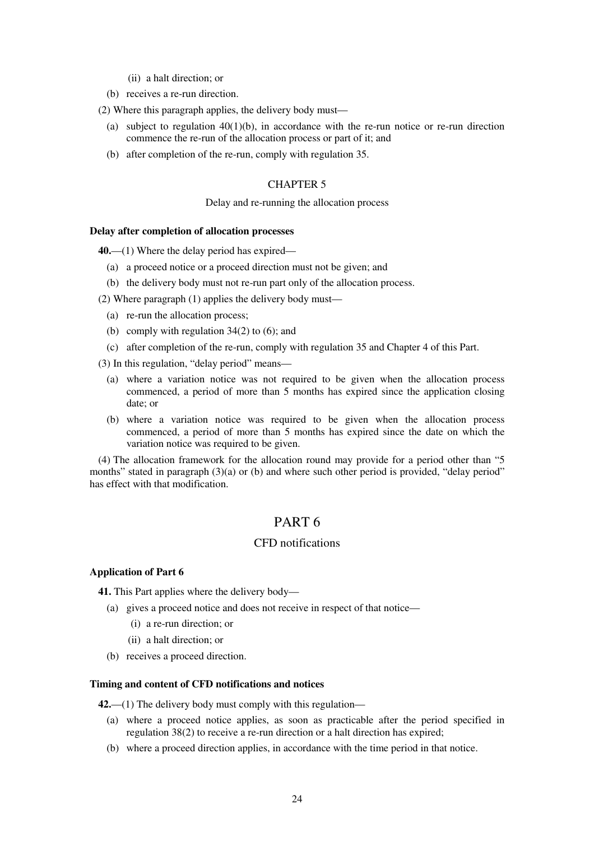- (ii) a halt direction; or
- (b) receives a re-run direction.

(2) Where this paragraph applies, the delivery body must—

- (a) subject to regulation  $40(1)(b)$ , in accordance with the re-run notice or re-run direction commence the re-run of the allocation process or part of it; and
- (b) after completion of the re-run, comply with regulation 35.

## CHAPTER 5

#### Delay and re-running the allocation process

#### **Delay after completion of allocation processes**

**40.**—(1) Where the delay period has expired—

- (a) a proceed notice or a proceed direction must not be given; and
- (b) the delivery body must not re-run part only of the allocation process.

(2) Where paragraph (1) applies the delivery body must—

- (a) re-run the allocation process;
- (b) comply with regulation  $34(2)$  to (6); and
- (c) after completion of the re-run, comply with regulation 35 and Chapter 4 of this Part.
- (3) In this regulation, "delay period" means—
	- (a) where a variation notice was not required to be given when the allocation process commenced, a period of more than 5 months has expired since the application closing date; or
	- (b) where a variation notice was required to be given when the allocation process commenced, a period of more than 5 months has expired since the date on which the variation notice was required to be given.

(4) The allocation framework for the allocation round may provide for a period other than "5 months" stated in paragraph (3)(a) or (b) and where such other period is provided, "delay period" has effect with that modification.

## PART 6

## CFD notifications

#### **Application of Part 6**

**41.** This Part applies where the delivery body—

- (a) gives a proceed notice and does not receive in respect of that notice—
	- (i) a re-run direction; or
	- (ii) a halt direction; or
- (b) receives a proceed direction.

#### **Timing and content of CFD notifications and notices**

**42.**—(1) The delivery body must comply with this regulation—

- (a) where a proceed notice applies, as soon as practicable after the period specified in regulation 38(2) to receive a re-run direction or a halt direction has expired;
- (b) where a proceed direction applies, in accordance with the time period in that notice.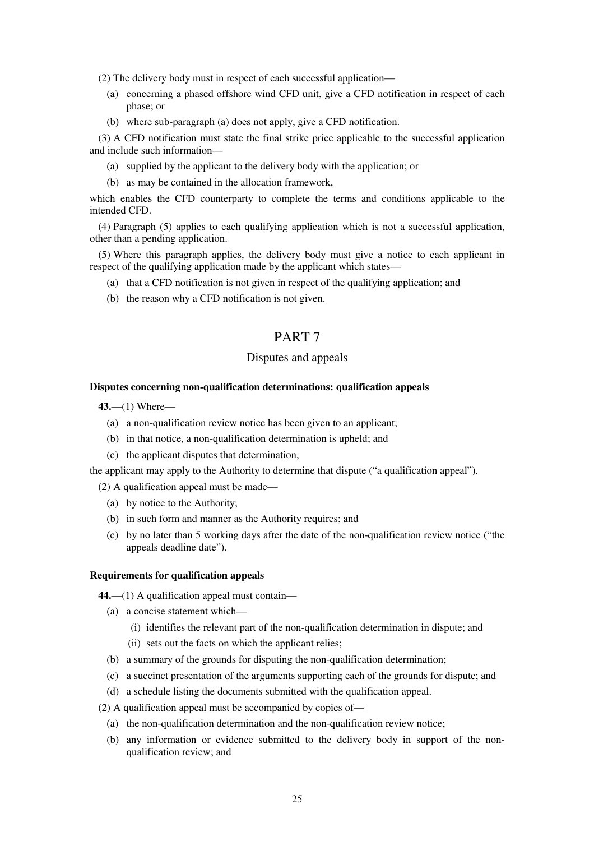(2) The delivery body must in respect of each successful application—

- (a) concerning a phased offshore wind CFD unit, give a CFD notification in respect of each phase; or
- (b) where sub-paragraph (a) does not apply, give a CFD notification.

(3) A CFD notification must state the final strike price applicable to the successful application and include such information—

- (a) supplied by the applicant to the delivery body with the application; or
- (b) as may be contained in the allocation framework,

which enables the CFD counterparty to complete the terms and conditions applicable to the intended CFD.

(4) Paragraph (5) applies to each qualifying application which is not a successful application, other than a pending application.

(5) Where this paragraph applies, the delivery body must give a notice to each applicant in respect of the qualifying application made by the applicant which states—

- (a) that a CFD notification is not given in respect of the qualifying application; and
- (b) the reason why a CFD notification is not given.

## PART 7

## Disputes and appeals

#### **Disputes concerning non-qualification determinations: qualification appeals**

**43.**—(1) Where—

- (a) a non-qualification review notice has been given to an applicant;
- (b) in that notice, a non-qualification determination is upheld; and
- (c) the applicant disputes that determination,

the applicant may apply to the Authority to determine that dispute ("a qualification appeal").

- (2) A qualification appeal must be made—
	- (a) by notice to the Authority;
	- (b) in such form and manner as the Authority requires; and
	- (c) by no later than 5 working days after the date of the non-qualification review notice ("the appeals deadline date").

#### **Requirements for qualification appeals**

**44.**—(1) A qualification appeal must contain—

- (a) a concise statement which—
	- (i) identifies the relevant part of the non-qualification determination in dispute; and
	- (ii) sets out the facts on which the applicant relies;
- (b) a summary of the grounds for disputing the non-qualification determination;
- (c) a succinct presentation of the arguments supporting each of the grounds for dispute; and
- (d) a schedule listing the documents submitted with the qualification appeal.

(2) A qualification appeal must be accompanied by copies of—

- (a) the non-qualification determination and the non-qualification review notice;
- (b) any information or evidence submitted to the delivery body in support of the nonqualification review; and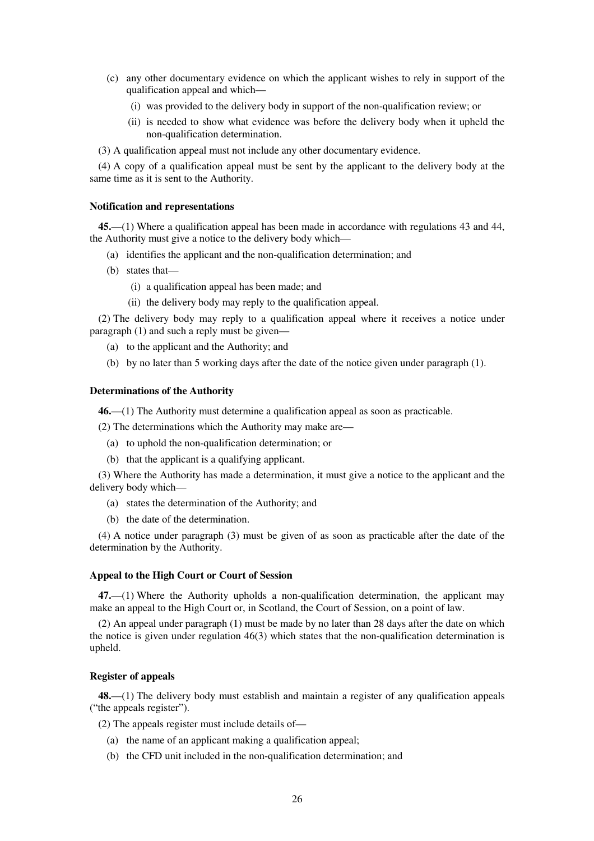- (c) any other documentary evidence on which the applicant wishes to rely in support of the qualification appeal and which—
	- (i) was provided to the delivery body in support of the non-qualification review; or
	- (ii) is needed to show what evidence was before the delivery body when it upheld the non-qualification determination.
- (3) A qualification appeal must not include any other documentary evidence.

(4) A copy of a qualification appeal must be sent by the applicant to the delivery body at the same time as it is sent to the Authority.

#### **Notification and representations**

**45.**—(1) Where a qualification appeal has been made in accordance with regulations 43 and 44, the Authority must give a notice to the delivery body which—

- (a) identifies the applicant and the non-qualification determination; and
- (b) states that—
	- (i) a qualification appeal has been made; and
	- (ii) the delivery body may reply to the qualification appeal.

(2) The delivery body may reply to a qualification appeal where it receives a notice under paragraph (1) and such a reply must be given—

- (a) to the applicant and the Authority; and
- (b) by no later than 5 working days after the date of the notice given under paragraph (1).

#### **Determinations of the Authority**

**46.**—(1) The Authority must determine a qualification appeal as soon as practicable.

(2) The determinations which the Authority may make are—

- (a) to uphold the non-qualification determination; or
- (b) that the applicant is a qualifying applicant.

(3) Where the Authority has made a determination, it must give a notice to the applicant and the delivery body which—

- (a) states the determination of the Authority; and
- (b) the date of the determination.

(4) A notice under paragraph (3) must be given of as soon as practicable after the date of the determination by the Authority.

#### **Appeal to the High Court or Court of Session**

**47.**—(1) Where the Authority upholds a non-qualification determination, the applicant may make an appeal to the High Court or, in Scotland, the Court of Session, on a point of law.

(2) An appeal under paragraph (1) must be made by no later than 28 days after the date on which the notice is given under regulation  $46(3)$  which states that the non-qualification determination is upheld.

#### **Register of appeals**

**48.**—(1) The delivery body must establish and maintain a register of any qualification appeals ("the appeals register").

(2) The appeals register must include details of—

- (a) the name of an applicant making a qualification appeal;
- (b) the CFD unit included in the non-qualification determination; and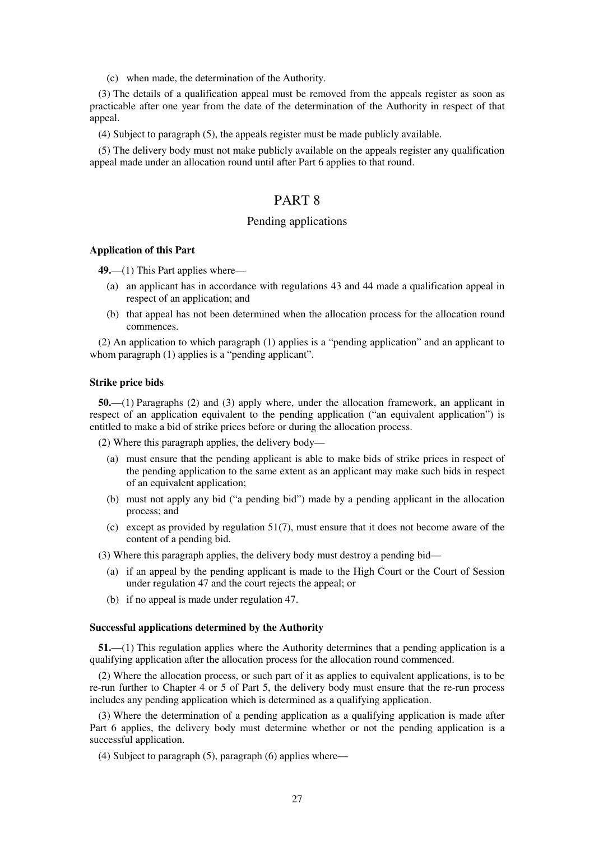(c) when made, the determination of the Authority.

(3) The details of a qualification appeal must be removed from the appeals register as soon as practicable after one year from the date of the determination of the Authority in respect of that appeal.

(4) Subject to paragraph (5), the appeals register must be made publicly available.

(5) The delivery body must not make publicly available on the appeals register any qualification appeal made under an allocation round until after Part 6 applies to that round.

## PART 8

### Pending applications

### **Application of this Part**

**49.**—(1) This Part applies where—

- (a) an applicant has in accordance with regulations 43 and 44 made a qualification appeal in respect of an application; and
- (b) that appeal has not been determined when the allocation process for the allocation round commences.

(2) An application to which paragraph (1) applies is a "pending application" and an applicant to whom paragraph (1) applies is a "pending applicant".

#### **Strike price bids**

**50.**—(1) Paragraphs (2) and (3) apply where, under the allocation framework, an applicant in respect of an application equivalent to the pending application ("an equivalent application") is entitled to make a bid of strike prices before or during the allocation process.

(2) Where this paragraph applies, the delivery body—

- (a) must ensure that the pending applicant is able to make bids of strike prices in respect of the pending application to the same extent as an applicant may make such bids in respect of an equivalent application;
- (b) must not apply any bid ("a pending bid") made by a pending applicant in the allocation process; and
- (c) except as provided by regulation 51(7), must ensure that it does not become aware of the content of a pending bid.

(3) Where this paragraph applies, the delivery body must destroy a pending bid—

- (a) if an appeal by the pending applicant is made to the High Court or the Court of Session under regulation 47 and the court rejects the appeal; or
- (b) if no appeal is made under regulation 47.

#### **Successful applications determined by the Authority**

**51.**—(1) This regulation applies where the Authority determines that a pending application is a qualifying application after the allocation process for the allocation round commenced.

(2) Where the allocation process, or such part of it as applies to equivalent applications, is to be re-run further to Chapter 4 or 5 of Part 5, the delivery body must ensure that the re-run process includes any pending application which is determined as a qualifying application.

(3) Where the determination of a pending application as a qualifying application is made after Part 6 applies, the delivery body must determine whether or not the pending application is a successful application.

(4) Subject to paragraph (5), paragraph (6) applies where—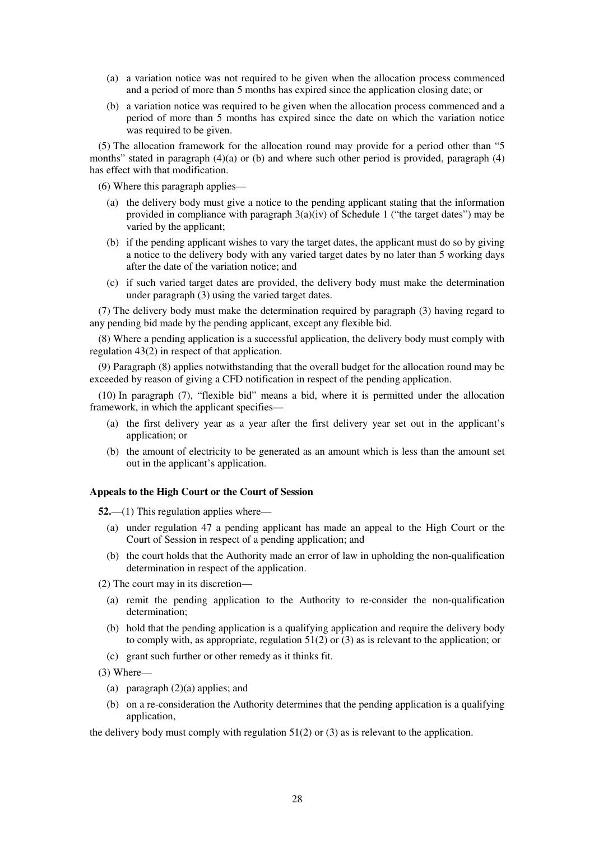- (a) a variation notice was not required to be given when the allocation process commenced and a period of more than 5 months has expired since the application closing date; or
- (b) a variation notice was required to be given when the allocation process commenced and a period of more than 5 months has expired since the date on which the variation notice was required to be given.

(5) The allocation framework for the allocation round may provide for a period other than "5 months" stated in paragraph (4)(a) or (b) and where such other period is provided, paragraph (4) has effect with that modification.

(6) Where this paragraph applies—

- (a) the delivery body must give a notice to the pending applicant stating that the information provided in compliance with paragraph  $3(a)(iv)$  of Schedule 1 ("the target dates") may be varied by the applicant;
- (b) if the pending applicant wishes to vary the target dates, the applicant must do so by giving a notice to the delivery body with any varied target dates by no later than 5 working days after the date of the variation notice; and
- (c) if such varied target dates are provided, the delivery body must make the determination under paragraph (3) using the varied target dates.

(7) The delivery body must make the determination required by paragraph (3) having regard to any pending bid made by the pending applicant, except any flexible bid.

(8) Where a pending application is a successful application, the delivery body must comply with regulation 43(2) in respect of that application.

(9) Paragraph (8) applies notwithstanding that the overall budget for the allocation round may be exceeded by reason of giving a CFD notification in respect of the pending application.

(10) In paragraph (7), "flexible bid" means a bid, where it is permitted under the allocation framework, in which the applicant specifies—

- (a) the first delivery year as a year after the first delivery year set out in the applicant's application; or
- (b) the amount of electricity to be generated as an amount which is less than the amount set out in the applicant's application.

## **Appeals to the High Court or the Court of Session**

**52.**—(1) This regulation applies where—

- (a) under regulation 47 a pending applicant has made an appeal to the High Court or the Court of Session in respect of a pending application; and
- (b) the court holds that the Authority made an error of law in upholding the non-qualification determination in respect of the application.

(2) The court may in its discretion—

- (a) remit the pending application to the Authority to re-consider the non-qualification determination;
- (b) hold that the pending application is a qualifying application and require the delivery body to comply with, as appropriate, regulation  $51(2)$  or (3) as is relevant to the application; or
- (c) grant such further or other remedy as it thinks fit.

(3) Where—

- (a) paragraph (2)(a) applies; and
- (b) on a re-consideration the Authority determines that the pending application is a qualifying application,

the delivery body must comply with regulation  $51(2)$  or (3) as is relevant to the application.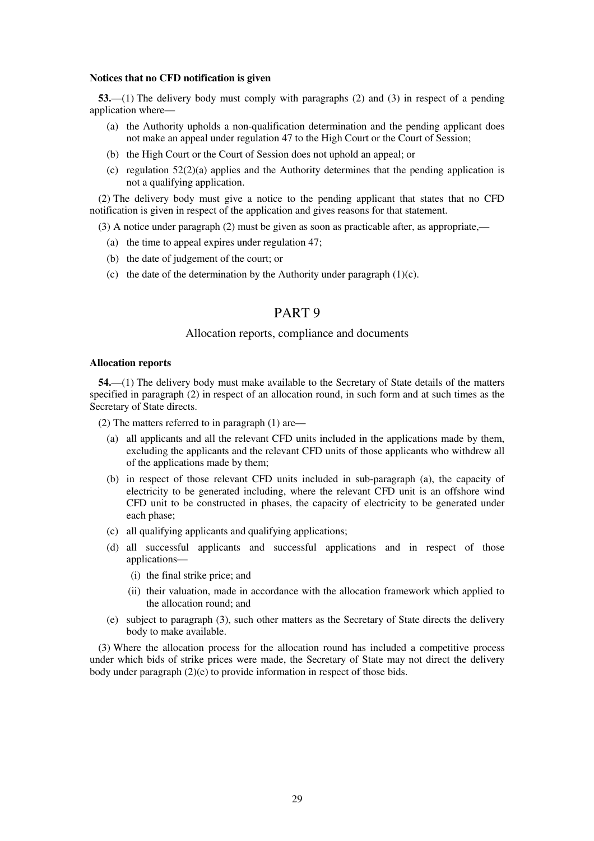#### **Notices that no CFD notification is given**

**53.**—(1) The delivery body must comply with paragraphs (2) and (3) in respect of a pending application where—

- (a) the Authority upholds a non-qualification determination and the pending applicant does not make an appeal under regulation 47 to the High Court or the Court of Session;
- (b) the High Court or the Court of Session does not uphold an appeal; or
- (c) regulation  $52(2)(a)$  applies and the Authority determines that the pending application is not a qualifying application.

(2) The delivery body must give a notice to the pending applicant that states that no CFD notification is given in respect of the application and gives reasons for that statement.

(3) A notice under paragraph (2) must be given as soon as practicable after, as appropriate,—

- (a) the time to appeal expires under regulation 47;
- (b) the date of judgement of the court; or
- (c) the date of the determination by the Authority under paragraph  $(1)(c)$ .

## PART 9

### Allocation reports, compliance and documents

#### **Allocation reports**

**54.**—(1) The delivery body must make available to the Secretary of State details of the matters specified in paragraph (2) in respect of an allocation round, in such form and at such times as the Secretary of State directs.

(2) The matters referred to in paragraph (1) are—

- (a) all applicants and all the relevant CFD units included in the applications made by them, excluding the applicants and the relevant CFD units of those applicants who withdrew all of the applications made by them;
- (b) in respect of those relevant CFD units included in sub-paragraph (a), the capacity of electricity to be generated including, where the relevant CFD unit is an offshore wind CFD unit to be constructed in phases, the capacity of electricity to be generated under each phase;
- (c) all qualifying applicants and qualifying applications;
- (d) all successful applicants and successful applications and in respect of those applications—
	- (i) the final strike price; and
	- (ii) their valuation, made in accordance with the allocation framework which applied to the allocation round; and
- (e) subject to paragraph (3), such other matters as the Secretary of State directs the delivery body to make available.

(3) Where the allocation process for the allocation round has included a competitive process under which bids of strike prices were made, the Secretary of State may not direct the delivery body under paragraph (2)(e) to provide information in respect of those bids.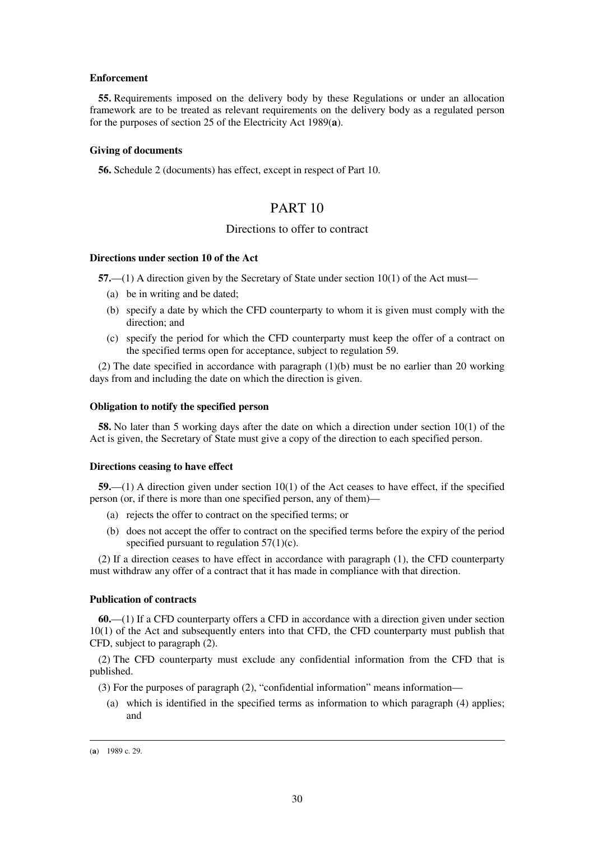#### **Enforcement**

**55.** Requirements imposed on the delivery body by these Regulations or under an allocation framework are to be treated as relevant requirements on the delivery body as a regulated person for the purposes of section 25 of the Electricity Act 1989(**a**).

#### **Giving of documents**

**56.** Schedule 2 (documents) has effect, except in respect of Part 10.

## PART 10

### Directions to offer to contract

#### **Directions under section 10 of the Act**

**57.**—(1) A direction given by the Secretary of State under section 10(1) of the Act must—

- (a) be in writing and be dated;
- (b) specify a date by which the CFD counterparty to whom it is given must comply with the direction; and
- (c) specify the period for which the CFD counterparty must keep the offer of a contract on the specified terms open for acceptance, subject to regulation 59.

(2) The date specified in accordance with paragraph (1)(b) must be no earlier than 20 working days from and including the date on which the direction is given.

#### **Obligation to notify the specified person**

**58.** No later than 5 working days after the date on which a direction under section 10(1) of the Act is given, the Secretary of State must give a copy of the direction to each specified person.

#### **Directions ceasing to have effect**

**59.**—(1) A direction given under section 10(1) of the Act ceases to have effect, if the specified person (or, if there is more than one specified person, any of them)—

- (a) rejects the offer to contract on the specified terms; or
- (b) does not accept the offer to contract on the specified terms before the expiry of the period specified pursuant to regulation  $57(1)(c)$ .

(2) If a direction ceases to have effect in accordance with paragraph (1), the CFD counterparty must withdraw any offer of a contract that it has made in compliance with that direction.

#### **Publication of contracts**

**60.**—(1) If a CFD counterparty offers a CFD in accordance with a direction given under section 10(1) of the Act and subsequently enters into that CFD, the CFD counterparty must publish that CFD, subject to paragraph (2).

(2) The CFD counterparty must exclude any confidential information from the CFD that is published.

- (3) For the purposes of paragraph (2), "confidential information" means information—
	- (a) which is identified in the specified terms as information to which paragraph (4) applies; and

<sup>(</sup>**a**) 1989 c. 29.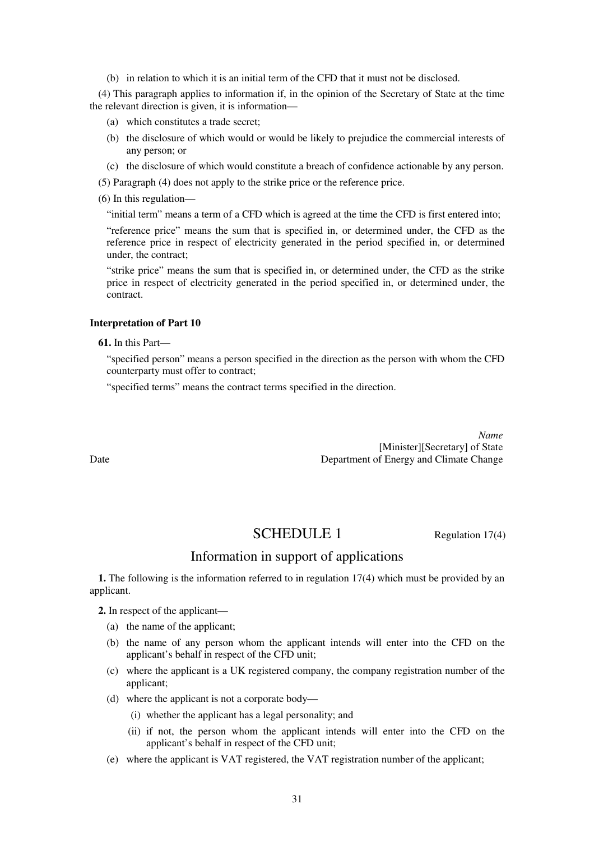(b) in relation to which it is an initial term of the CFD that it must not be disclosed.

(4) This paragraph applies to information if, in the opinion of the Secretary of State at the time the relevant direction is given, it is information—

- (a) which constitutes a trade secret;
- (b) the disclosure of which would or would be likely to prejudice the commercial interests of any person; or
- (c) the disclosure of which would constitute a breach of confidence actionable by any person.

(5) Paragraph (4) does not apply to the strike price or the reference price.

(6) In this regulation—

"initial term" means a term of a CFD which is agreed at the time the CFD is first entered into;

"reference price" means the sum that is specified in, or determined under, the CFD as the reference price in respect of electricity generated in the period specified in, or determined under, the contract;

"strike price" means the sum that is specified in, or determined under, the CFD as the strike price in respect of electricity generated in the period specified in, or determined under, the contract.

### **Interpretation of Part 10**

**61.** In this Part—

"specified person" means a person specified in the direction as the person with whom the CFD counterparty must offer to contract;

"specified terms" means the contract terms specified in the direction.

*Name* [Minister][Secretary] of State Date Department of Energy and Climate Change

## SCHEDULE 1 Regulation 17(4)

## Information in support of applications

**1.** The following is the information referred to in regulation 17(4) which must be provided by an applicant.

**2.** In respect of the applicant—

- (a) the name of the applicant;
- (b) the name of any person whom the applicant intends will enter into the CFD on the applicant's behalf in respect of the CFD unit;
- (c) where the applicant is a UK registered company, the company registration number of the applicant;
- (d) where the applicant is not a corporate body—
	- (i) whether the applicant has a legal personality; and
	- (ii) if not, the person whom the applicant intends will enter into the CFD on the applicant's behalf in respect of the CFD unit;
- (e) where the applicant is VAT registered, the VAT registration number of the applicant;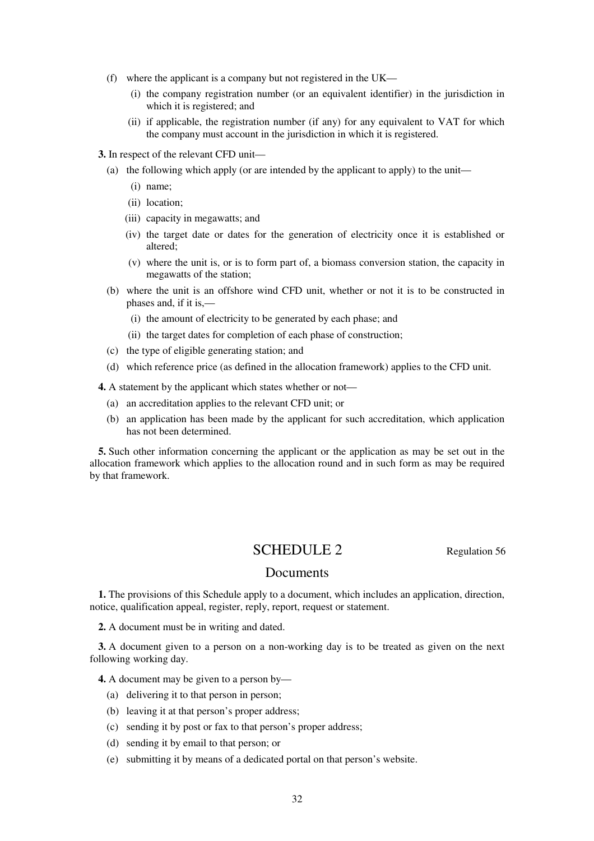- (f) where the applicant is a company but not registered in the UK—
	- (i) the company registration number (or an equivalent identifier) in the jurisdiction in which it is registered; and
	- (ii) if applicable, the registration number (if any) for any equivalent to VAT for which the company must account in the jurisdiction in which it is registered.
- **3.** In respect of the relevant CFD unit—
	- (a) the following which apply (or are intended by the applicant to apply) to the unit—
		- (i) name;
		- (ii) location;
		- (iii) capacity in megawatts; and
		- (iv) the target date or dates for the generation of electricity once it is established or altered;
		- (v) where the unit is, or is to form part of, a biomass conversion station, the capacity in megawatts of the station;
	- (b) where the unit is an offshore wind CFD unit, whether or not it is to be constructed in phases and, if it is,—
		- (i) the amount of electricity to be generated by each phase; and
		- (ii) the target dates for completion of each phase of construction;
	- (c) the type of eligible generating station; and
	- (d) which reference price (as defined in the allocation framework) applies to the CFD unit.

**4.** A statement by the applicant which states whether or not—

- (a) an accreditation applies to the relevant CFD unit; or
- (b) an application has been made by the applicant for such accreditation, which application has not been determined.

**5.** Such other information concerning the applicant or the application as may be set out in the allocation framework which applies to the allocation round and in such form as may be required by that framework.

## SCHEDULE 2 Regulation 56

### Documents

**1.** The provisions of this Schedule apply to a document, which includes an application, direction, notice, qualification appeal, register, reply, report, request or statement.

**2.** A document must be in writing and dated.

**3.** A document given to a person on a non-working day is to be treated as given on the next following working day.

**4.** A document may be given to a person by—

- (a) delivering it to that person in person;
- (b) leaving it at that person's proper address;
- (c) sending it by post or fax to that person's proper address;
- (d) sending it by email to that person; or
- (e) submitting it by means of a dedicated portal on that person's website.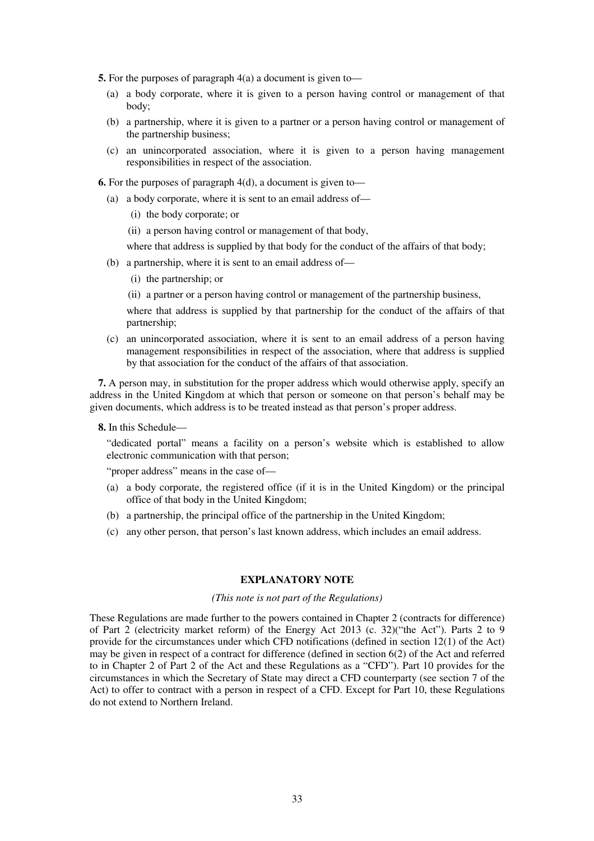**5.** For the purposes of paragraph 4(a) a document is given to—

- (a) a body corporate, where it is given to a person having control or management of that body;
- (b) a partnership, where it is given to a partner or a person having control or management of the partnership business;
- (c) an unincorporated association, where it is given to a person having management responsibilities in respect of the association.
- **6.** For the purposes of paragraph 4(d), a document is given to—
	- (a) a body corporate, where it is sent to an email address of—
		- (i) the body corporate; or
		- (ii) a person having control or management of that body,
		- where that address is supplied by that body for the conduct of the affairs of that body;
	- (b) a partnership, where it is sent to an email address of—
		- (i) the partnership; or
		- (ii) a partner or a person having control or management of the partnership business,

where that address is supplied by that partnership for the conduct of the affairs of that partnership;

(c) an unincorporated association, where it is sent to an email address of a person having management responsibilities in respect of the association, where that address is supplied by that association for the conduct of the affairs of that association.

**7.** A person may, in substitution for the proper address which would otherwise apply, specify an address in the United Kingdom at which that person or someone on that person's behalf may be given documents, which address is to be treated instead as that person's proper address.

**8.** In this Schedule—

"dedicated portal" means a facility on a person's website which is established to allow electronic communication with that person;

"proper address" means in the case of—

- (a) a body corporate, the registered office (if it is in the United Kingdom) or the principal office of that body in the United Kingdom;
- (b) a partnership, the principal office of the partnership in the United Kingdom;
- (c) any other person, that person's last known address, which includes an email address.

#### **EXPLANATORY NOTE**

#### *(This note is not part of the Regulations)*

These Regulations are made further to the powers contained in Chapter 2 (contracts for difference) of Part 2 (electricity market reform) of the Energy Act 2013 (c. 32)("the Act"). Parts 2 to 9 provide for the circumstances under which CFD notifications (defined in section 12(1) of the Act) may be given in respect of a contract for difference (defined in section 6(2) of the Act and referred to in Chapter 2 of Part 2 of the Act and these Regulations as a "CFD"). Part 10 provides for the circumstances in which the Secretary of State may direct a CFD counterparty (see section 7 of the Act) to offer to contract with a person in respect of a CFD. Except for Part 10, these Regulations do not extend to Northern Ireland.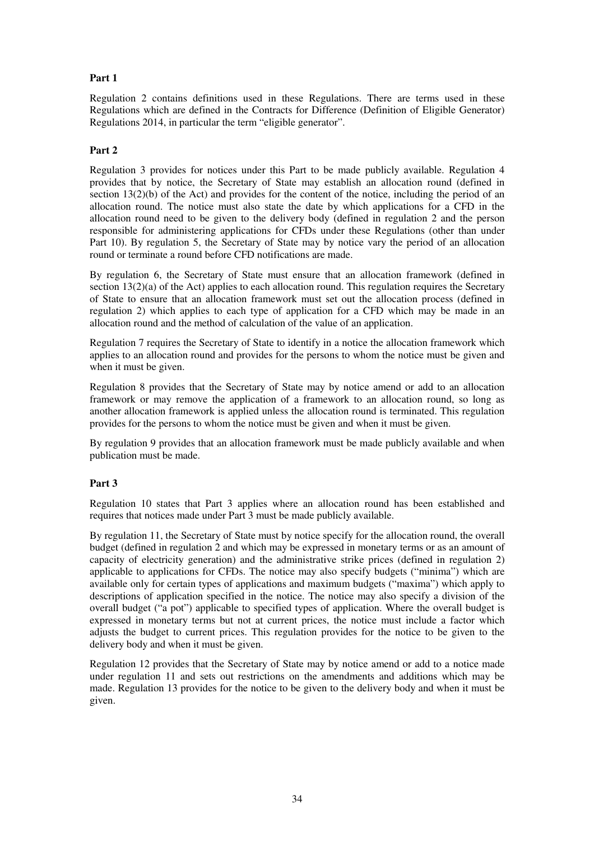## **Part 1**

Regulation 2 contains definitions used in these Regulations. There are terms used in these Regulations which are defined in the Contracts for Difference (Definition of Eligible Generator) Regulations 2014, in particular the term "eligible generator".

## **Part 2**

Regulation 3 provides for notices under this Part to be made publicly available. Regulation 4 provides that by notice, the Secretary of State may establish an allocation round (defined in section 13(2)(b) of the Act) and provides for the content of the notice, including the period of an allocation round. The notice must also state the date by which applications for a CFD in the allocation round need to be given to the delivery body (defined in regulation 2 and the person responsible for administering applications for CFDs under these Regulations (other than under Part 10). By regulation 5, the Secretary of State may by notice vary the period of an allocation round or terminate a round before CFD notifications are made.

By regulation 6, the Secretary of State must ensure that an allocation framework (defined in section  $13(2)(a)$  of the Act) applies to each allocation round. This regulation requires the Secretary of State to ensure that an allocation framework must set out the allocation process (defined in regulation 2) which applies to each type of application for a CFD which may be made in an allocation round and the method of calculation of the value of an application.

Regulation 7 requires the Secretary of State to identify in a notice the allocation framework which applies to an allocation round and provides for the persons to whom the notice must be given and when it must be given.

Regulation 8 provides that the Secretary of State may by notice amend or add to an allocation framework or may remove the application of a framework to an allocation round, so long as another allocation framework is applied unless the allocation round is terminated. This regulation provides for the persons to whom the notice must be given and when it must be given.

By regulation 9 provides that an allocation framework must be made publicly available and when publication must be made.

## **Part 3**

Regulation 10 states that Part 3 applies where an allocation round has been established and requires that notices made under Part 3 must be made publicly available.

By regulation 11, the Secretary of State must by notice specify for the allocation round, the overall budget (defined in regulation 2 and which may be expressed in monetary terms or as an amount of capacity of electricity generation) and the administrative strike prices (defined in regulation 2) applicable to applications for CFDs. The notice may also specify budgets ("minima") which are available only for certain types of applications and maximum budgets ("maxima") which apply to descriptions of application specified in the notice. The notice may also specify a division of the overall budget ("a pot") applicable to specified types of application. Where the overall budget is expressed in monetary terms but not at current prices, the notice must include a factor which adjusts the budget to current prices. This regulation provides for the notice to be given to the delivery body and when it must be given.

Regulation 12 provides that the Secretary of State may by notice amend or add to a notice made under regulation 11 and sets out restrictions on the amendments and additions which may be made. Regulation 13 provides for the notice to be given to the delivery body and when it must be given.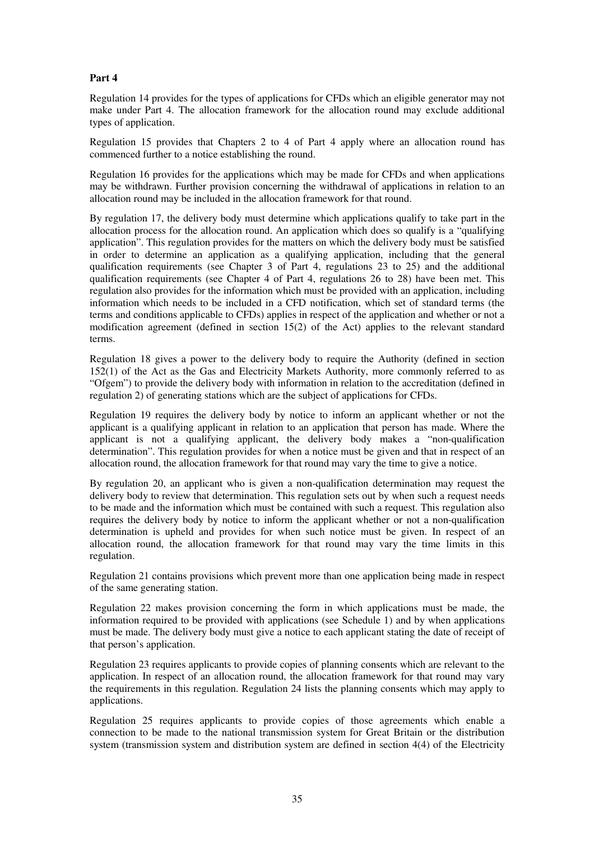## **Part 4**

Regulation 14 provides for the types of applications for CFDs which an eligible generator may not make under Part 4. The allocation framework for the allocation round may exclude additional types of application.

Regulation 15 provides that Chapters 2 to 4 of Part 4 apply where an allocation round has commenced further to a notice establishing the round.

Regulation 16 provides for the applications which may be made for CFDs and when applications may be withdrawn. Further provision concerning the withdrawal of applications in relation to an allocation round may be included in the allocation framework for that round.

By regulation 17, the delivery body must determine which applications qualify to take part in the allocation process for the allocation round. An application which does so qualify is a "qualifying application". This regulation provides for the matters on which the delivery body must be satisfied in order to determine an application as a qualifying application, including that the general qualification requirements (see Chapter 3 of Part 4, regulations 23 to 25) and the additional qualification requirements (see Chapter 4 of Part 4, regulations 26 to 28) have been met. This regulation also provides for the information which must be provided with an application, including information which needs to be included in a CFD notification, which set of standard terms (the terms and conditions applicable to CFDs) applies in respect of the application and whether or not a modification agreement (defined in section 15(2) of the Act) applies to the relevant standard terms.

Regulation 18 gives a power to the delivery body to require the Authority (defined in section 152(1) of the Act as the Gas and Electricity Markets Authority, more commonly referred to as "Ofgem") to provide the delivery body with information in relation to the accreditation (defined in regulation 2) of generating stations which are the subject of applications for CFDs.

Regulation 19 requires the delivery body by notice to inform an applicant whether or not the applicant is a qualifying applicant in relation to an application that person has made. Where the applicant is not a qualifying applicant, the delivery body makes a "non-qualification determination". This regulation provides for when a notice must be given and that in respect of an allocation round, the allocation framework for that round may vary the time to give a notice.

By regulation 20, an applicant who is given a non-qualification determination may request the delivery body to review that determination. This regulation sets out by when such a request needs to be made and the information which must be contained with such a request. This regulation also requires the delivery body by notice to inform the applicant whether or not a non-qualification determination is upheld and provides for when such notice must be given. In respect of an allocation round, the allocation framework for that round may vary the time limits in this regulation.

Regulation 21 contains provisions which prevent more than one application being made in respect of the same generating station.

Regulation 22 makes provision concerning the form in which applications must be made, the information required to be provided with applications (see Schedule 1) and by when applications must be made. The delivery body must give a notice to each applicant stating the date of receipt of that person's application.

Regulation 23 requires applicants to provide copies of planning consents which are relevant to the application. In respect of an allocation round, the allocation framework for that round may vary the requirements in this regulation. Regulation 24 lists the planning consents which may apply to applications.

Regulation 25 requires applicants to provide copies of those agreements which enable a connection to be made to the national transmission system for Great Britain or the distribution system (transmission system and distribution system are defined in section 4(4) of the Electricity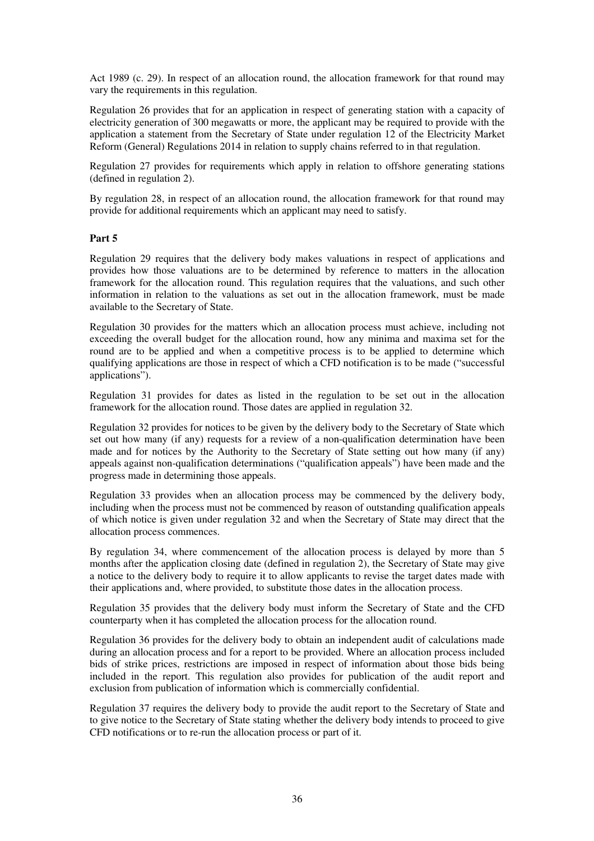Act 1989 (c. 29). In respect of an allocation round, the allocation framework for that round may vary the requirements in this regulation.

Regulation 26 provides that for an application in respect of generating station with a capacity of electricity generation of 300 megawatts or more, the applicant may be required to provide with the application a statement from the Secretary of State under regulation 12 of the Electricity Market Reform (General) Regulations 2014 in relation to supply chains referred to in that regulation.

Regulation 27 provides for requirements which apply in relation to offshore generating stations (defined in regulation 2).

By regulation 28, in respect of an allocation round, the allocation framework for that round may provide for additional requirements which an applicant may need to satisfy.

#### **Part 5**

Regulation 29 requires that the delivery body makes valuations in respect of applications and provides how those valuations are to be determined by reference to matters in the allocation framework for the allocation round. This regulation requires that the valuations, and such other information in relation to the valuations as set out in the allocation framework, must be made available to the Secretary of State.

Regulation 30 provides for the matters which an allocation process must achieve, including not exceeding the overall budget for the allocation round, how any minima and maxima set for the round are to be applied and when a competitive process is to be applied to determine which qualifying applications are those in respect of which a CFD notification is to be made ("successful applications").

Regulation 31 provides for dates as listed in the regulation to be set out in the allocation framework for the allocation round. Those dates are applied in regulation 32.

Regulation 32 provides for notices to be given by the delivery body to the Secretary of State which set out how many (if any) requests for a review of a non-qualification determination have been made and for notices by the Authority to the Secretary of State setting out how many (if any) appeals against non-qualification determinations ("qualification appeals") have been made and the progress made in determining those appeals.

Regulation 33 provides when an allocation process may be commenced by the delivery body, including when the process must not be commenced by reason of outstanding qualification appeals of which notice is given under regulation 32 and when the Secretary of State may direct that the allocation process commences.

By regulation 34, where commencement of the allocation process is delayed by more than 5 months after the application closing date (defined in regulation 2), the Secretary of State may give a notice to the delivery body to require it to allow applicants to revise the target dates made with their applications and, where provided, to substitute those dates in the allocation process.

Regulation 35 provides that the delivery body must inform the Secretary of State and the CFD counterparty when it has completed the allocation process for the allocation round.

Regulation 36 provides for the delivery body to obtain an independent audit of calculations made during an allocation process and for a report to be provided. Where an allocation process included bids of strike prices, restrictions are imposed in respect of information about those bids being included in the report. This regulation also provides for publication of the audit report and exclusion from publication of information which is commercially confidential.

Regulation 37 requires the delivery body to provide the audit report to the Secretary of State and to give notice to the Secretary of State stating whether the delivery body intends to proceed to give CFD notifications or to re-run the allocation process or part of it.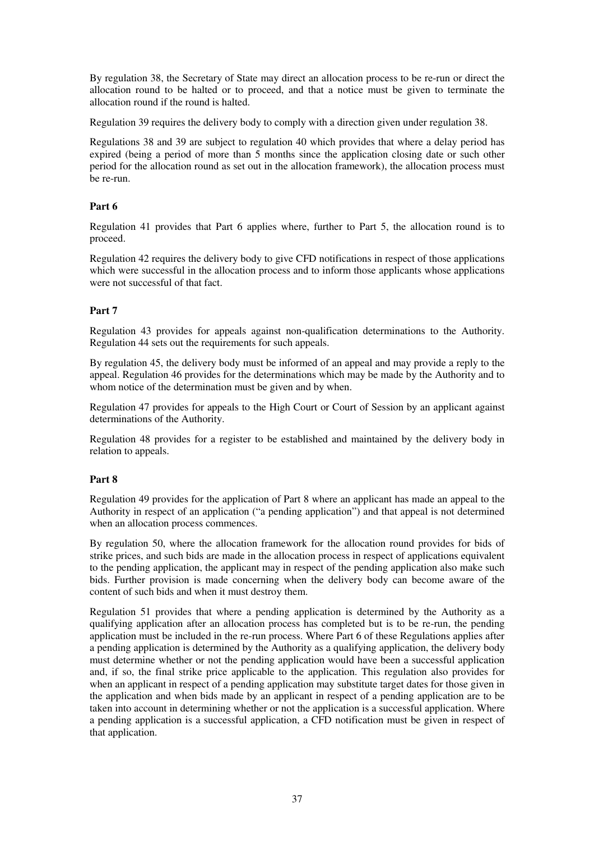By regulation 38, the Secretary of State may direct an allocation process to be re-run or direct the allocation round to be halted or to proceed, and that a notice must be given to terminate the allocation round if the round is halted.

Regulation 39 requires the delivery body to comply with a direction given under regulation 38.

Regulations 38 and 39 are subject to regulation 40 which provides that where a delay period has expired (being a period of more than 5 months since the application closing date or such other period for the allocation round as set out in the allocation framework), the allocation process must be re-run.

## **Part 6**

Regulation 41 provides that Part 6 applies where, further to Part 5, the allocation round is to proceed.

Regulation 42 requires the delivery body to give CFD notifications in respect of those applications which were successful in the allocation process and to inform those applicants whose applications were not successful of that fact.

## **Part 7**

Regulation 43 provides for appeals against non-qualification determinations to the Authority. Regulation 44 sets out the requirements for such appeals.

By regulation 45, the delivery body must be informed of an appeal and may provide a reply to the appeal. Regulation 46 provides for the determinations which may be made by the Authority and to whom notice of the determination must be given and by when.

Regulation 47 provides for appeals to the High Court or Court of Session by an applicant against determinations of the Authority.

Regulation 48 provides for a register to be established and maintained by the delivery body in relation to appeals.

## **Part 8**

Regulation 49 provides for the application of Part 8 where an applicant has made an appeal to the Authority in respect of an application ("a pending application") and that appeal is not determined when an allocation process commences.

By regulation 50, where the allocation framework for the allocation round provides for bids of strike prices, and such bids are made in the allocation process in respect of applications equivalent to the pending application, the applicant may in respect of the pending application also make such bids. Further provision is made concerning when the delivery body can become aware of the content of such bids and when it must destroy them.

Regulation 51 provides that where a pending application is determined by the Authority as a qualifying application after an allocation process has completed but is to be re-run, the pending application must be included in the re-run process. Where Part 6 of these Regulations applies after a pending application is determined by the Authority as a qualifying application, the delivery body must determine whether or not the pending application would have been a successful application and, if so, the final strike price applicable to the application. This regulation also provides for when an applicant in respect of a pending application may substitute target dates for those given in the application and when bids made by an applicant in respect of a pending application are to be taken into account in determining whether or not the application is a successful application. Where a pending application is a successful application, a CFD notification must be given in respect of that application.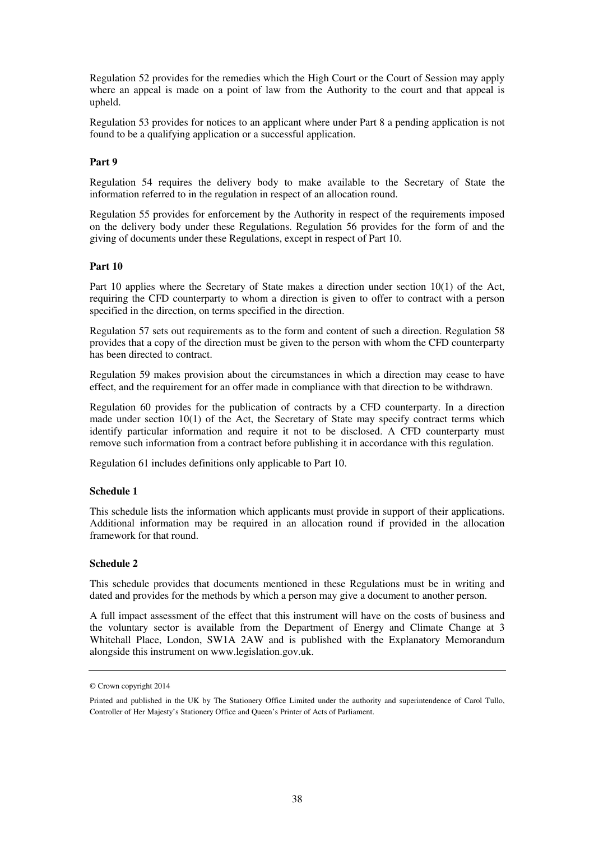Regulation 52 provides for the remedies which the High Court or the Court of Session may apply where an appeal is made on a point of law from the Authority to the court and that appeal is upheld.

Regulation 53 provides for notices to an applicant where under Part 8 a pending application is not found to be a qualifying application or a successful application.

### **Part 9**

Regulation 54 requires the delivery body to make available to the Secretary of State the information referred to in the regulation in respect of an allocation round.

Regulation 55 provides for enforcement by the Authority in respect of the requirements imposed on the delivery body under these Regulations. Regulation 56 provides for the form of and the giving of documents under these Regulations, except in respect of Part 10.

#### **Part 10**

Part 10 applies where the Secretary of State makes a direction under section 10(1) of the Act, requiring the CFD counterparty to whom a direction is given to offer to contract with a person specified in the direction, on terms specified in the direction.

Regulation 57 sets out requirements as to the form and content of such a direction. Regulation 58 provides that a copy of the direction must be given to the person with whom the CFD counterparty has been directed to contract.

Regulation 59 makes provision about the circumstances in which a direction may cease to have effect, and the requirement for an offer made in compliance with that direction to be withdrawn.

Regulation 60 provides for the publication of contracts by a CFD counterparty. In a direction made under section  $10(1)$  of the Act, the Secretary of State may specify contract terms which identify particular information and require it not to be disclosed. A CFD counterparty must remove such information from a contract before publishing it in accordance with this regulation.

Regulation 61 includes definitions only applicable to Part 10.

#### **Schedule 1**

This schedule lists the information which applicants must provide in support of their applications. Additional information may be required in an allocation round if provided in the allocation framework for that round.

#### **Schedule 2**

This schedule provides that documents mentioned in these Regulations must be in writing and dated and provides for the methods by which a person may give a document to another person.

A full impact assessment of the effect that this instrument will have on the costs of business and the voluntary sector is available from the Department of Energy and Climate Change at 3 Whitehall Place, London, SW1A 2AW and is published with the Explanatory Memorandum alongside this instrument on www.legislation.gov.uk.

<sup>©</sup> Crown copyright 2014

Printed and published in the UK by The Stationery Office Limited under the authority and superintendence of Carol Tullo, Controller of Her Majesty's Stationery Office and Queen's Printer of Acts of Parliament.